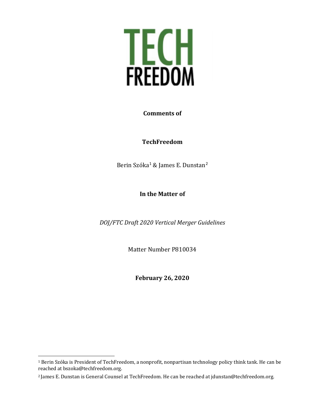

#### **Comments of**

#### **TechFreedom**

Berin Szóka<sup>[1](#page-0-0)</sup> & James E. Dunstan<sup>[2](#page-0-1)</sup>

**In the Matter of**

*DOJ/FTC Draft 2020 Vertical Merger Guidelines*

Matter Number P810034

**February 26, 2020**

<span id="page-0-0"></span><sup>1</sup> Berin Szóka is President of TechFreedom, a nonprofit, nonpartisan technology policy think tank. He can be reached at bszoka@techfreedom.org.

<span id="page-0-1"></span><sup>2</sup> James E. Dunstan is General Counsel at TechFreedom. He can be reached at jdunstan@techfreedom.org.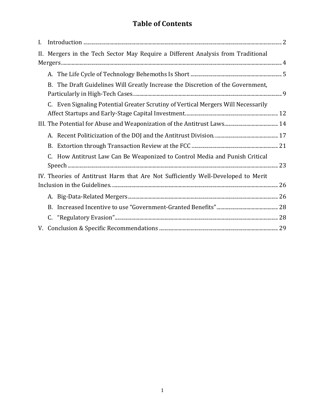# **Table of Contents**

| L.                                                                               |                                                                                  |                                                                                   |  |
|----------------------------------------------------------------------------------|----------------------------------------------------------------------------------|-----------------------------------------------------------------------------------|--|
|                                                                                  | II. Mergers in the Tech Sector May Require a Different Analysis from Traditional |                                                                                   |  |
|                                                                                  |                                                                                  |                                                                                   |  |
|                                                                                  |                                                                                  | B. The Draft Guidelines Will Greatly Increase the Discretion of the Government,   |  |
|                                                                                  |                                                                                  | C. Even Signaling Potential Greater Scrutiny of Vertical Mergers Will Necessarily |  |
|                                                                                  |                                                                                  |                                                                                   |  |
|                                                                                  |                                                                                  |                                                                                   |  |
|                                                                                  | B.                                                                               |                                                                                   |  |
|                                                                                  |                                                                                  | How Antitrust Law Can Be Weaponized to Control Media and Punish Critical          |  |
| IV. Theories of Antitrust Harm that Are Not Sufficiently Well-Developed to Merit |                                                                                  |                                                                                   |  |
|                                                                                  |                                                                                  |                                                                                   |  |
|                                                                                  | B.                                                                               |                                                                                   |  |
|                                                                                  |                                                                                  |                                                                                   |  |
|                                                                                  |                                                                                  |                                                                                   |  |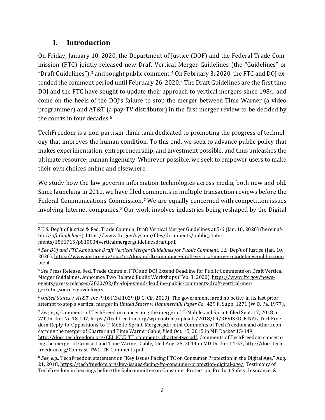## <span id="page-2-6"></span>**I. Introduction**

On Friday, January 10, 2020, the Department of Justice (DOF) and the Federal Trade Commission (FTC) jointly released new Draft Vertical Merger Guidelines (the "Guidelines" or "Draft Guidelines"), $^3$  $^3$  and sought public comment. $^4$  $^4$  On February 3, 2020, the FTC and DOJ extended the comment period until February 26, 2020.[5](#page-2-2) The Draft Guidelines are the first time DOJ and the FTC have sought to update their approach to vertical mergers since 1984, and come on the heels of the DOJ's failure to stop the merger between Time Warner (a video programmer) and AT&T (a pay-TV distributor) in the first merger review to be decided by the courts in four decades. [6](#page-2-3)

<span id="page-2-7"></span>TechFreedom is a non-partisan think tank dedicated to promoting the progress of technology that improves the human condition. To this end, we seek to advance public policy that makes experimentation, entrepreneurship, and investment possible, and thus unleashes the ultimate resource: human ingenuity. Wherever possible, we seek to empower users to make their own choices online and elsewhere.

We study how the law governs information technologies across media, both new and old. Since launching in 2011, we have filed comments in multiple transaction reviews before the Federal Communications Commission.[7](#page-2-4) We are equally concerned with competition issues involving Internet companies.[8](#page-2-5) Our work involves industries being reshaped by the Digital

<span id="page-2-0"></span><sup>3</sup> U.S. Dep't of Justice & Fed. Trade Comm'n, Draft Vertical Merger Guidelines at 5-6 (Jan. 10, 2020) (hereinafter *Draft Guidelines*), [https://www.ftc.gov/system/files/documents/public\\_state](https://www.ftc.gov/system/files/documents/public_statements/1561715/p810034verticalmergerguidelinesdraft.pdf)[ments/1561715/p810034verticalmergerguidelinesdraft.pdf.](https://www.ftc.gov/system/files/documents/public_statements/1561715/p810034verticalmergerguidelinesdraft.pdf)

<span id="page-2-1"></span><sup>4</sup> *See DOJ and FTC Announce Draft Vertical Merger Guidelines for Public Comment*, U.S. Dep't of Justice (Jan. 10, 2020), [https://www.justice.gov/opa/pr/doj-and-ftc-announce-draft-vertical-merger-guidelines-public-com](https://www.justice.gov/opa/pr/doj-and-ftc-announce-draft-vertical-merger-guidelines-public-comment)[ment.](https://www.justice.gov/opa/pr/doj-and-ftc-announce-draft-vertical-merger-guidelines-public-comment)

<span id="page-2-2"></span><sup>5</sup> *See* Press Release, Fed. Trade Comm'n, FTC and DOJ Extend Deadline for Public Comments on Draft Vertical Merger Guidelines, Announce Two Related Public Workshops (Feb. 3, 2020)[, https://www.ftc.gov/news](https://www.ftc.gov/news-events/press-releases/2020/02/ftc-doj-extend-deadline-public-comments-draft-vertical-merger?utm_source=govdelivery)[events/press-releases/2020/02/ftc-doj-extend-deadline-public-comments-draft-vertical-mer](https://www.ftc.gov/news-events/press-releases/2020/02/ftc-doj-extend-deadline-public-comments-draft-vertical-merger?utm_source=govdelivery)[ger?utm\\_source=govdelivery.](https://www.ftc.gov/news-events/press-releases/2020/02/ftc-doj-extend-deadline-public-comments-draft-vertical-merger?utm_source=govdelivery)

<span id="page-2-3"></span><sup>6</sup>*United States v. AT&T, Inc.*, 916 F.3d 1029 (D.C. Cir. 2019). The government fared no better in its last prior attempt to stop a vertical merger in *United States v. Hammermill Paper Co.*, 429 F. Supp. 1271 (W.D. Pa. 1977).

<span id="page-2-4"></span><sup>7</sup> *See, e.g.*, Comments of TechFreedom concerning the merger of T-Mobile and Sprint, filed Sept. 17, 2018 in WT Docket No.18-197, [https://techfreedom.org/wp-content/uploads/2018/09/REVISED\\_FINAL\\_TechFree](https://techfreedom.org/wp-content/uploads/2018/09/REVISED_FINAL_TechFreedom-Reply-to-Oppositions-to-T-Mobile-Sprint-Merger.pdf)[dom-Reply-to-Oppositions-to-T-Mobile-Sprint-Merger.pdf;](https://techfreedom.org/wp-content/uploads/2018/09/REVISED_FINAL_TechFreedom-Reply-to-Oppositions-to-T-Mobile-Sprint-Merger.pdf) Joint Comments of TechFreedom and others concerning the merger of Charter and Time Warner Cable, filed Oct. 15, 2015 in MB Docket 15-149, [http://docs.techfreedom.org/CEI\\_ICLE\\_TF\\_comments\\_charter-twc.pdf;](http://docs.techfreedom.org/CEI_ICLE_TF_comments_charter-twc.pdf) Comments of TechFreedom concerning the merger of Comcast and Time Warner Cable, filed Aug. 25, 2014 in MD Docket 14-57, [http://docs.tech](http://docs.techfreedom.org/Comcast-TWC_TF_Comments.pdf)[freedom.org/Comcast-TWC\\_TF\\_Comments.pdf.](http://docs.techfreedom.org/Comcast-TWC_TF_Comments.pdf) 

<span id="page-2-5"></span><sup>8</sup> *See, e.g.*, TechFreedom statement on "Key Issues Facing FTC on Consumer Protection in the Digital Age," Aug. 21, 2018[, https://techfreedom.org/key-issues-facing-ftc-consumer-protection-digital-age/;](https://techfreedom.org/key-issues-facing-ftc-consumer-protection-digital-age/) Testimony of TechFreedom in hearings before the Subcommittee on Consumer Protection, Product Safety, Insurance, &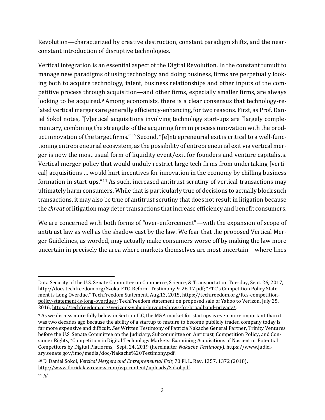Revolution—characterized by creative destruction, constant paradigm shifts, and the nearconstant introduction of disruptive technologies.

<span id="page-3-3"></span>Vertical integration is an essential aspect of the Digital Revolution. In the constant tumult to manage new paradigms of using technology and doing business, firms are perpetually looking both to acquire technology, talent, business relationships and other inputs of the competitive process through acquisition—and other firms, especially smaller firms, are always looking to be acquired.<sup>[9](#page-3-0)</sup> Among economists, there is a clear consensus that technology-related vertical mergers are generally efficiency-enhancing, for two reasons. First, as Prof. Daniel Sokol notes, "[v]ertical acquisitions involving technology start-ups are "largely complementary, combining the strengths of the acquiring firm in process innovation with the product innovation of the target firms."[10](#page-3-1) Second, "[e]ntrepreneurial exit is critical to a well-functioning entrepreneurial ecosystem, as the possibility of entrepreneurial exit via vertical merger is now the most usual form of liquidity event/exit for founders and venture capitalists. Vertical merger policy that would unduly restrict large tech firms from undertaking [vertical] acquisitions … would hurt incentives for innovation in the economy by chilling business formation in start-ups."[11](#page-3-2) As such, increased antitrust scrutiny of vertical transactions may ultimately harm consumers. While that is particularly true of decisions to actually block such transactions, it may also be true of antitrust scrutiny that does not result in litigation because the *threat* of litigation may deter transactions that increase efficiency and benefit consumers.

We are concerned with both forms of "over-enforcement"—with the expansion of scope of antitrust law as well as the shadow cast by the law. We fear that the proposed Vertical Merger Guidelines, as worded, may actually make consumers worse off by making the law more uncertain in precisely the area where markets themselves are most uncertain—where lines

Data Security of the U.S. Senate Committee on Commerce, Science, & Transportation Tuesday, Sept. 26, 2017, [http://docs.techfreedom.org/Szoka\\_FTC\\_Reform\\_Testimony\\_9-26-17.pdf;](http://docs.techfreedom.org/Szoka_FTC_Reform_Testimony_9-26-17.pdf) "FTC's Competition Policy Statement is Long Overdue," TechFreedom Statement, Aug.13, 2015[, https://techfreedom.org/ftcs-competition](https://techfreedom.org/ftcs-competition-policy-statement-is-long-overdue/)[policy-statement-is-long-overdue/;](https://techfreedom.org/ftcs-competition-policy-statement-is-long-overdue/) TechFreedom statement on proposed sale of Yahoo to Verizon, July 25, 2016[, https://techfreedom.org/verizons-yahoo-buyout-shows-fcc-broadband-privacy/.](https://techfreedom.org/verizons-yahoo-buyout-shows-fcc-broadband-privacy/)

<span id="page-3-0"></span><sup>9</sup> As we discuss more fully below in Section [II.](#page-4-0)[C,](#page-12-0) the M&A market for startups is even more important than it was two decades ago because the ability of a startup to mature to become publicly traded company today is far more expensive and difficult. *See* Written Testimony of Patricia Nakache General Partner, Trinity Ventures before the U.S. Senate Committee on the Judiciary, Subcommittee on Antitrust, Competition Policy, and Consumer Rights, "Competition in Digital Technology Markets: Examining Acquisitions of Nascent or Potential Competitors by Digital Platforms," Sept. 24, 2019 (hereinafter *Nakache Testimony*)[, https://www.judici](https://www.judiciary.senate.gov/imo/media/doc/Nakache%20Testimony.pdf)[ary.senate.gov/imo/media/doc/Nakache%20Testimony.pdf.](https://www.judiciary.senate.gov/imo/media/doc/Nakache%20Testimony.pdf) 

<span id="page-3-1"></span><sup>10</sup> D. Daniel Sokol, *Vertical Mergers and Entrepreneurial Exit*, 70 Fl. L. Rev. 1357, 1372 (2018), [http://www.floridalawreview.com/wp-content/uploads/Sokol.pdf.](http://www.floridalawreview.com/wp-content/uploads/Sokol.pdf)

<span id="page-3-2"></span><sup>11</sup> *Id.*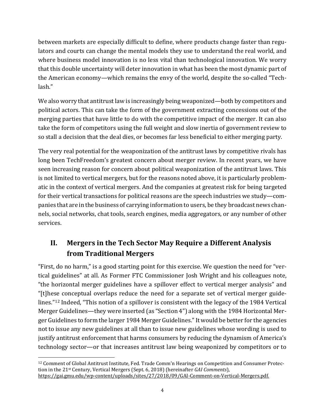between markets are especially difficult to define, where products change faster than regulators and courts can change the mental models they use to understand the real world, and where business model innovation is no less vital than technological innovation. We worry that this double uncertainty will deter innovation in what has been the most dynamic part of the American economy—which remains the envy of the world, despite the so-called "Techlash."

We also worry that antitrust law is increasingly being weaponized—both by competitors and political actors. This can take the form of the government extracting concessions out of the merging parties that have little to do with the competitive impact of the merger. It can also take the form of competitors using the full weight and slow inertia of government review to so stall a decision that the deal dies, or becomes far less beneficial to either merging party.

The very real potential for the weaponization of the antitrust laws by competitive rivals has long been TechFreedom's greatest concern about merger review. In recent years, we have seen increasing reason for concern about political weaponization of the antitrust laws. This is not limited to vertical mergers, but for the reasons noted above, it is particularly problematic in the context of vertical mergers. And the companies at greatest risk for being targeted for their vertical transactions for political reasons are the speech industries we study—companies that are in the business of carrying information to users, be they broadcast news channels, social networks, chat tools, search engines, media aggregators, or any number of other services.

# <span id="page-4-0"></span>**II. Mergers in the Tech Sector May Require a Different Analysis from Traditional Mergers**

<span id="page-4-2"></span>"First, do no harm," is a good starting point for this exercise. We question the need for "vertical guidelines" at all. As Former FTC Commissioner Josh Wright and his colleagues note, "the horizontal merger guidelines have a spillover effect to vertical merger analysis" and "[t]hese conceptual overlaps reduce the need for a separate set of vertical merger guidelines."[12](#page-4-1) Indeed, "This notion of a spillover is consistent with the legacy of the 1984 Vertical Merger Guidelines—they were inserted (as "Section 4") along with the 1984 Horizontal Merger Guidelines to form the larger 1984 Merger Guidelines."It would be better for the agencies not to issue any new guidelines at all than to issue new guidelines whose wording is used to justify antitrust enforcement that harms consumers by reducing the dynamism of America's technology sector—or that increases antitrust law being weaponized by competitors or to

<span id="page-4-1"></span><sup>12</sup> Comment of Global Antitrust Institute, Fed. Trade Comm'n Hearings on Competition and Consumer Protection in the 21st Century, Vertical Mergers (Sept. 6, 2018) (hereinafter *GAI Comments*), [https://gai.gmu.edu/wp-content/uploads/sites/27/2018/09/GAI-Comment-on-Vertical-Mergers.pdf.](https://gai.gmu.edu/wp-content/uploads/sites/27/2018/09/GAI-Comment-on-Vertical-Mergers.pdf)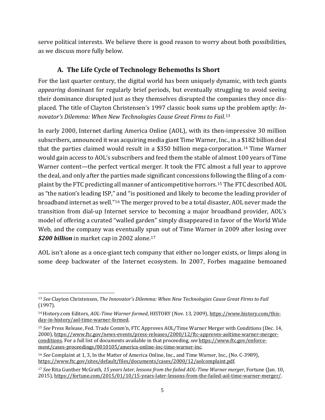serve political interests. We believe there is good reason to worry about both possibilities, as we discuss more fully below.

### <span id="page-5-5"></span>**A. The Life Cycle of Technology Behemoths Is Short**

For the last quarter century, the digital world has been uniquely dynamic, with tech giants *appearing* dominant for regularly brief periods, but eventually struggling to avoid seeing their dominance disrupted just as they themselves disrupted the companies they once displaced. The title of Clayton Christensen's 1997 classic book sums up the problem aptly: *Innovator's Dilemma: When New Technologies Cause Great Firms to Fail*.[13](#page-5-0)

In early 2000, Internet darling America Online (AOL), with its then-impressive 30 million subscribers, announced it was acquiring media giant Time Warner, Inc., in a \$182 billion deal that the parties claimed would result in a \$350 billion mega-corporation.[14](#page-5-1) Time Warner would gain access to AOL's subscribers and feed them the stable of almost 100 years of Time Warner content—the perfect vertical merger. It took the FTC almost a full year to approve the deal, and only after the parties made significant concessions following the filing of a complaint by the FTC predicting all manner of anticompetitive horrors. [15](#page-5-2) The FTC described AOL as "the nation's leading ISP," and "is positioned and likely to become the leading provider of broadband internet as well."[16](#page-5-3) The merger proved to be a total disaster, AOL never made the transition from dial-up Internet service to becoming a major broadband provider, AOL's model of offering a curated "walled garden" simply disappeared in favor of the World Wide Web, and the company was eventually spun out of Time Warner in 2009 after losing over *\$200 billion* in market cap in 2002 alone.[17](#page-5-4)

AOL isn't alone as a once-giant tech company that either no longer exists, or limps along in some deep backwater of the Internet ecosystem. In 2007, Forbes magazine bemoaned

<span id="page-5-0"></span><sup>13</sup> *See* Clayton Christensen, *The Innovator's Dilemma: When New Technologies Cause Great Firms to Fail* (1997).

<span id="page-5-1"></span><sup>14</sup>History.com Editors, *AOL-Time Warner formed*, HISTORY (Nov. 13, 2009), [https://www.history.com/this](https://www.history.com/this-day-in-history/aol-time-warner-formed)[day-in-history/aol-time-warner-formed.](https://www.history.com/this-day-in-history/aol-time-warner-formed) 

<span id="page-5-2"></span><sup>15</sup> *See* Press Release, Fed. Trade Comm'n, FTC Approves AOL/Time Warner Merger with Conditions (Dec. 14, 2000)[, https://www.ftc.gov/news-events/press-releases/2000/12/ftc-approves-aoltime-warner-merger](https://www.ftc.gov/news-events/press-releases/2000/12/ftc-approves-aoltime-warner-merger-conditions)[conditions.](https://www.ftc.gov/news-events/press-releases/2000/12/ftc-approves-aoltime-warner-merger-conditions) For a full list of documents available in that proceeding, *see* [https://www.ftc.gov/enforce](https://www.ftc.gov/enforcement/cases-proceedings/0010105/america-online-inc-time-warner-inc)[ment/cases-proceedings/0010105/america-online-inc-time-warner-inc.](https://www.ftc.gov/enforcement/cases-proceedings/0010105/america-online-inc-time-warner-inc)

<span id="page-5-3"></span><sup>16</sup> *See* Complaint at 1, 3, In the Matter of America Online, Inc., and Time Warner, Inc., (No. C-3989), [https://www.ftc.gov/sites/default/files/documents/cases/2000/12/aolcomplaint.pdf.](https://www.ftc.gov/sites/default/files/documents/cases/2000/12/aolcomplaint.pdf)

<span id="page-5-4"></span><sup>17</sup> *See* Rita Gunther McGrath, *15 years later, lessons from the failed AOL-Time Warner merger*, Fortune (Jan. 10, 2015)[, https://fortune.com/2015/01/10/15-years-later-lessons-from-the-failed-aol-time-warner-merger/.](https://fortune.com/2015/01/10/15-years-later-lessons-from-the-failed-aol-time-warner-merger/)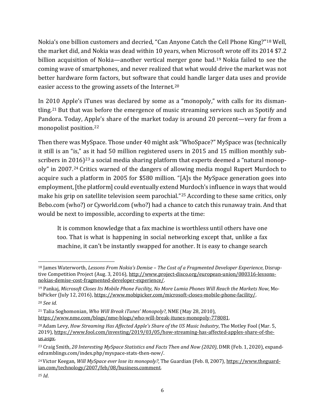Nokia's one billion customers and decried, "Can Anyone Catch the Cell Phone King?"[18](#page-6-0) Well, the market did, and Nokia was dead within 10 years, when Microsoft wrote off its 2014 \$7.2 billion acquisition of Nokia—another vertical merger gone bad.<sup>[19](#page-6-1)</sup> Nokia failed to see the coming wave of smartphones, and never realized that what would drive the market was not better hardware form factors, but software that could handle larger data uses and provide easier access to the growing assets of the Internet. [20](#page-6-2)

In 2010 Apple's iTunes was declared by some as a "monopoly," with calls for its dismantling.[21](#page-6-3) But that was before the emergence of music streaming services such as Spotify and Pandora. Today, Apple's share of the market today is around 20 percent—very far from a monopolist position.[22](#page-6-4)

Then there was MySpace. Those under 40 might ask "WhoSpace?" MySpace was (technically it still is an "is," as it had 50 million registered users in 2015 and 15 million monthly sub-scribers in 2016)<sup>[23](#page-6-5)</sup> a social media sharing platform that experts deemed a "natural monopoly" in 2007.[24](#page-6-6) Critics warned of the dangers of allowing media mogul Rupert Murdoch to acquire such a platform in 2005 for \$580 million. "[A]s the MySpace generation goes into employment, [the platform] could eventually extend Murdoch's influence in ways that would make his grip on satellite television seem parochial."<sup>[25](#page-6-7)</sup> According to these same critics, only Bebo.com (who?) or Cyworld.com (who?) had a chance to catch this runaway train. And that would be next to impossible, according to experts at the time:

It is common knowledge that a fax machine is worthless until others have one too. That is what is happening in social networking except that, unlike a fax machine, it can't be instantly swapped for another. It is easy to change search

<span id="page-6-0"></span><sup>18</sup> James Waterworth, *Lessons From Nokia's Demise – The Cost of a Fragmented Developer Experience*, Disruptive Competition Project (Aug. 3, 2016), [http://www.project-disco.org/european-union/080316-lessons](http://www.project-disco.org/european-union/080316-lessons-nokias-demise-cost-fragmented-developer-experience/)[nokias-demise-cost-fragmented-developer-experience/.](http://www.project-disco.org/european-union/080316-lessons-nokias-demise-cost-fragmented-developer-experience/)

<span id="page-6-1"></span><sup>19</sup> Pankaj, *Microsoft Closes Its Mobile Phone Facility, No More Lumia Phones Will Reach the Markets Now*, MobiPicker (July 12, 2016), https://www.mobipicker.com/microsoft-closes-mobile-phone-facility/.

<span id="page-6-2"></span><sup>20</sup> *See id.*

<span id="page-6-3"></span><sup>21</sup> Talia Soghomonian, *Who Will Break iTunes' Monopoly?*, NME (May 28, 2010), https://www.nme.com/blogs/nme-blogs/who-will-break-itunes-monopoly-778081.

<span id="page-6-4"></span><sup>&</sup>lt;sup>20</sup> Adam Levy, *How Streaming Has Affected Apple's Share of the US Music Industry*, The Motley Fool (Mar. 5, 2019), [https://www.fool.com/investing/2019/03/05/how-streaming-has-affected-apples-share-of-the](https://www.fool.com/investing/2019/03/05/how-streaming-has-affected-apples-share-of-the-us.aspx)[us.aspx.](https://www.fool.com/investing/2019/03/05/how-streaming-has-affected-apples-share-of-the-us.aspx) 

<span id="page-6-5"></span><sup>23</sup> Craig Smith, *20 Interesting MySpace Statistics and Facts Then and Now (2020)*, DMR (Feb. 1, 2020), expandedramblings.com/index.php/myspace-stats-then-now/.

<span id="page-6-6"></span><sup>24</sup>Victor Keegan, *Will MySpace ever lose its monopoly?*, The Guardian (Feb. 8, 2007), https://www.theguardian.com/technology/2007/feb/08/business.comment.

<span id="page-6-7"></span><sup>25</sup> *Id*.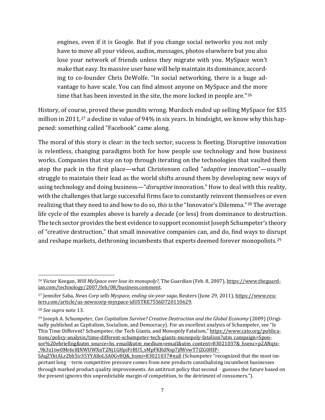engines, even if it is Google. But if you change social networks you not only have to move all your videos, audios, messages, photos elsewhere but you also lose your network of friends unless they migrate with you. MySpace won't make that easy. Its massive user base will help maintain its dominance, according to co-founder Chris DeWolfe. "In social networking, there is a huge advantage to have scale. You can find almost anyone on MySpace and the more time that has been invested in the site, the more locked in people are."<sup>[26](#page-7-0)</sup>

History, of course, proved these pundits wrong. Murdoch ended up selling MySpace for \$35 million in 2011,<sup>[27](#page-7-1)</sup> a decline in value of 94% in six years. In hindsight, we know why this happened: something called "Facebook" came along.

The moral of this story is clear: in the tech sector, success is fleeting. Disruptive innovation is relentless, changing paradigms both for how people use technology and how business works. Companies that stay on top through iterating on the technologies that vaulted them atop the pack in the first place—what Christensen called "*adaptive* innovation"—usually struggle to maintain their lead as the world shifts around them by developing new ways of using technology and doing business—"*disruptive* innovation." How to deal with this reality, with the challenges that large successful firms face to constantly reinvent themselves or even realizing that they need to and how to do so, *this*is the "Innovator's Dilemma."[28](#page-7-2) The average life cycle of the examples above is barely a decade (or less) from dominance to destruction. The tech sector provides the best evidence to support economist Joseph Schumpeter's theory of "creative destruction," that small innovative companies can, and do, find ways to disrupt and reshape markets, dethroning incumbents that experts deemed forever monopolists. [29](#page-7-3)

<span id="page-7-0"></span><sup>26</sup> Victor Keegan, *Will MySpace ever lose its monopoly?*, The Guardian (Feb. 8, 2007), https://www.theguardian.com/technology/2007/feb/08/business.comment.

<span id="page-7-1"></span><sup>27</sup> Jennifer Saba, *News Corp sells Myspace, ending six-year saga*, Reuters (June 29, 2011), [https://www.reu](https://www.reuters.com/article/us-newscorp-myspace-idUSTRE75S6D720110629)[ters.com/article/us-newscorp-myspace-idUSTRE75S6D720110629.](https://www.reuters.com/article/us-newscorp-myspace-idUSTRE75S6D720110629)

<span id="page-7-2"></span><sup>28</sup> *See supra* note [13.](#page-5-5)

<span id="page-7-3"></span><sup>29</sup> Joseph A. Schumpeter, *Can Capitalism Survive? Creative Destruction and the Global Economy* (2009) (Originally published as Capitalism, Socialism, and Democracy). For an excellent analysis of Schumpeter, see "Is This Time Different? Schumpeter, the Tech Giants, and Monopoly Fatalism,[" https://www.cato.org/publica](https://www.cato.org/publications/policy-analysis/time-different-schumpeter-tech-giants-monopoly-fatalism?utm_campaign=Sponsor%20ebriefing&utm_source=hs_email&utm_medium=email&utm_content=83021037&_hsenc=p2ANqtz-_9k3z1tw0Mr6c8JNWUWXnT2Nj1GHpiFrBU5_sMpFKRdNsp7jfWvwT7iZG0HIPSAqZYktALr2bh5ir35YYA8oLSA0Gv8Q&_hsmi=83021037#null)[tions/policy-analysis/time-different-schumpeter-tech-giants-monopoly-fatalism?utm\\_campaign=Spon](https://www.cato.org/publications/policy-analysis/time-different-schumpeter-tech-giants-monopoly-fatalism?utm_campaign=Sponsor%20ebriefing&utm_source=hs_email&utm_medium=email&utm_content=83021037&_hsenc=p2ANqtz-_9k3z1tw0Mr6c8JNWUWXnT2Nj1GHpiFrBU5_sMpFKRdNsp7jfWvwT7iZG0HIPSAqZYktALr2bh5ir35YYA8oLSA0Gv8Q&_hsmi=83021037#null)[sor%20ebriefing&utm\\_source=hs\\_email&utm\\_medium=email&utm\\_content=83021037&\\_hsenc=p2ANqtz-](https://www.cato.org/publications/policy-analysis/time-different-schumpeter-tech-giants-monopoly-fatalism?utm_campaign=Sponsor%20ebriefing&utm_source=hs_email&utm_medium=email&utm_content=83021037&_hsenc=p2ANqtz-_9k3z1tw0Mr6c8JNWUWXnT2Nj1GHpiFrBU5_sMpFKRdNsp7jfWvwT7iZG0HIPSAqZYktALr2bh5ir35YYA8oLSA0Gv8Q&_hsmi=83021037#null) [\\_9k3z1tw0Mr6c8JNWUWXnT2Nj1GHpiFrBU5\\_sMpFKRdNsp7jfWvwT7iZG0HIP-](https://www.cato.org/publications/policy-analysis/time-different-schumpeter-tech-giants-monopoly-fatalism?utm_campaign=Sponsor%20ebriefing&utm_source=hs_email&utm_medium=email&utm_content=83021037&_hsenc=p2ANqtz-_9k3z1tw0Mr6c8JNWUWXnT2Nj1GHpiFrBU5_sMpFKRdNsp7jfWvwT7iZG0HIPSAqZYktALr2bh5ir35YYA8oLSA0Gv8Q&_hsmi=83021037#null)

SAqZYktALr2bh5ir35YYA8oLSA0Gv8Q& hsmi=83021037#null (Schumpeter "recognized that the most important long - term competitive pressure comes from new products cannibalizing incumbent businesses through marked product quality improvements. An antitrust policy that second - guesses the future based on the present ignores this unpredictable margin of competition, to the detriment of consumers.").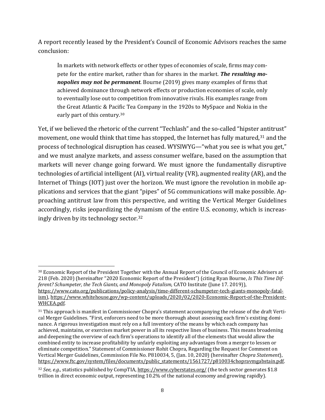A report recently leased by the President's Council of Economic Advisors reaches the same conclusion:

<span id="page-8-4"></span><span id="page-8-3"></span>In markets with network effects or other types of economies of scale, firms may compete for the entire market, rather than for shares in the market. *The resulting monopolies may not be permanent*. Bourne (2019) gives many examples of firms that achieved dominance through network effects or production economies of scale, only to eventually lose out to competition from innovative rivals. His examples range from the Great Atlantic & Pacific Tea Company in the 1920s to MySpace and Nokia in the early part of this century.<sup>[30](#page-8-0)</sup>

Yet, if we believed the rhetoric of the current "Techlash" and the so-called "hipster antitrust" movement, one would think that time has stopped, the Internet has fully matured,<sup>[31](#page-8-1)</sup> and the process of technological disruption has ceased. WYSIWYG—"what you see is what you get," and we must analyze markets, and assess consumer welfare, based on the assumption that markets will never change going forward. We must ignore the fundamentally disruptive technologies of artificial intelligent (AI), virtual reality (VR), augmented reality (AR), and the Internet of Things (IOT) just over the horizon. We must ignore the revolution in mobile applications and services that the giant "pipes" of 5G communications will make possible. Approaching antitrust law from this perspective, and writing the Vertical Merger Guidelines accordingly, risks jeopardizing the dynamism of the entire U.S. economy, which is increasingly driven by its technology sector. [32](#page-8-2)

<span id="page-8-0"></span><sup>30</sup> Economic Report of the President Together with the Annual Report of the Council of Economic Advisers at 218 (Feb. 2020) (hereinafter "2020 Economic Report of the President") (citing Ryan Bourne, *Is This Time Different? Schumpeter, the Tech Giants, and Monopoly Fatalism*, CATO Institute (June 17. 2019)), https://www.cato.org/publications/policy-analysis/time-different-schumpeter-tech-giants-monopoly-fatal-

ism), [https://www.whitehouse.gov/wp-content/uploads/2020/02/2020-Economic-Report-of-the-President-](https://www.whitehouse.gov/wp-content/uploads/2020/02/2020-Economic-Report-of-the-President-WHCEA.pdf)[WHCEA.pdf.](https://www.whitehouse.gov/wp-content/uploads/2020/02/2020-Economic-Report-of-the-President-WHCEA.pdf)

<span id="page-8-1"></span><sup>&</sup>lt;sup>31</sup> This approach is manifest in Commissioner Chopra's statement accompanying the release of the draft Vertical Merger Guidelines. "First, enforcers need to be more thorough about assessing each firm's existing dominance. A rigorous investigation must rely on a full inventory of the means by which each company has achieved, maintains, or exercises market power in all its respective lines of business. This means broadening and deepening the overview of each firm's operations to identify all of the elements that would allow the combined entity to increase profitability by unfairly exploiting any advantages from a merger to lessen or eliminate competition." Statement of Commissioner Rohit Chopra, Regarding the Request for Comment on Vertical Merger Guidelines, Commission File No. P810034, 5, (Jan. 10, 2020) (hereinafter *Chopra Statement*), [https://www.ftc.gov/system/files/documents/public\\_statements/1561727/p810034chopravmgabstain.pdf.](https://www.ftc.gov/system/files/documents/public_statements/1561727/p810034chopravmgabstain.pdf)

<span id="page-8-2"></span><sup>32</sup> *See, e.g.,* statistics published by CompTIA[, https://www.cyberstates.org/](https://www.cyberstates.org/) (the tech sector generates \$1.8 trillion in direct economic output, representing 10.2% of the national economy and growing rapidly).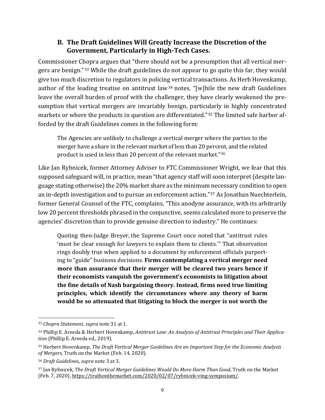#### **B. The Draft Guidelines Will Greatly Increase the Discretion of the Government, Particularly in High-Tech Cases.**

Commissioner Chopra argues that "there should not be a presumption that all vertical mergers are benign."[33](#page-9-0) While the draft guidelines do not appear to go quite this far, they would give too much discretion to regulators in policing vertical transactions. As Herb Hovenkamp, author of the leading treatise on antitrust law<sup>[34](#page-9-1)</sup> notes, "[w]hile the new draft Guidelines leave the overall burden of proof with the challenger, they have clearly weakened the presumption that vertical mergers are invariably benign, particularly in highly concentrated markets or where the products in question are differentiated."[35](#page-9-2) The limited safe harbor afforded by the draft Guidelines comes in the following form:

The Agencies are unlikely to challenge a vertical merger where the parties to the merger have a share in the relevant market of less than 20 percent, and the related product is used in less than 20 percent of the relevant market."[36](#page-9-3)

Like Jan Rybnicek, former Attorney Adviser to FTC Commissioner Wright, we fear that this supposed safeguard will, in practice, mean "that agency staff will soon interpret (despite language stating otherwise) the 20% market share as the minimum necessary condition to open an in-depth investigation and to pursue an enforcement action."[37](#page-9-4) As Jonathan Nuechterlein, former General Counsel of the FTC, complains, "This anodyne assurance, with its arbitrarily low 20 percent thresholds phrased in the conjunctive, seems calculated more to preserve the agencies' discretion than to provide genuine direction to industry." He continues:

Quoting then-Judge Breyer, the Supreme Court once noted that "antitrust rules 'must be clear enough for lawyers to explain them to clients.'" That observation rings doubly true when applied to a document by enforcement officials purporting to "guide" business decisions. **Firms contemplating a vertical merger need more than assurance that their merger will be cleared two years hence if their economists vanquish the government's economists in litigation about the fine details of Nash bargaining theory. Instead, firms need true limiting principles, which identify the circumstances where any theory of harm would be so attenuated that litigating to block the merger is not worth the** 

<span id="page-9-0"></span><sup>33</sup> *Chopra Statement*, *supra* note [31](#page-8-3) at 1.

<span id="page-9-1"></span><sup>34</sup> Phillip E. Areeda & Herbert Hovenkamp, *Antitrust Law: An Analysis of Antitrust Principles and Their Application* (Phillip E. Areeda ed., 2019).

<span id="page-9-2"></span><sup>35</sup> Herbert Hovenkamp, *The Draft Vertical Merger Guidelines Are an Important Step for the Economic Analysis of Mergers*, Truth on the Market (Feb. 14, 2020).

<span id="page-9-3"></span><sup>36</sup> *Draft Guidelines*, *supra* not[e 3](#page-2-6) at 3.

<span id="page-9-4"></span><sup>37</sup> Jan Rybnicek, *The Draft Vertical Merger Guidelines Would Do More Harm Than Good*, Truth on the Market (Feb. 7, 2020), [https://truthonthemarket.com/2020/02/07/rybnicek-vmg-symposium/.](https://truthonthemarket.com/2020/02/07/rybnicek-vmg-symposium/)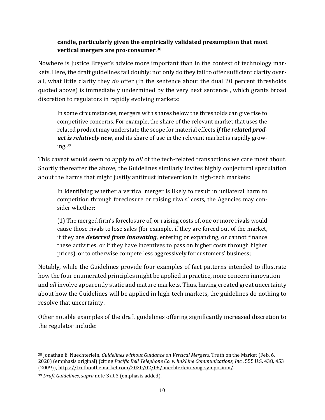### **candle, particularly given the empirically validated presumption that most vertical mergers are pro-consumer**. [38](#page-10-0)

Nowhere is Justice Breyer's advice more important than in the context of technology markets. Here, the draft guidelines fail doubly: not only do they fail to offer sufficient clarity overall, what little clarity they *do* offer (in the sentence about the dual 20 percent thresholds quoted above) is immediately undermined by the very next sentence , which grants broad discretion to regulators in rapidly evolving markets:

In some circumstances, mergers with shares below the thresholds can give rise to competitive concerns. For example, the share of the relevant market that uses the related product may understate the scope for material effects *if the related product is relatively new*, and its share of use in the relevant market is rapidly growing. $39$ 

This caveat would seem to apply to *all* of the tech-related transactions we care most about. Shortly thereafter the above, the Guidelines similarly invites highly conjectural speculation about the harms that might justify antitrust intervention in high-tech markets:

In identifying whether a vertical merger is likely to result in unilateral harm to competition through foreclosure or raising rivals' costs, the Agencies may consider whether:

(1) The merged firm's foreclosure of, or raising costs of, one or more rivals would cause those rivals to lose sales (for example, if they are forced out of the market, if they are *deterred from innovating*, entering or expanding, or cannot finance these activities, or if they have incentives to pass on higher costs through higher prices), or to otherwise compete less aggressively for customers' business;

Notably, while the Guidelines provide four examples of fact patterns intended to illustrate how the four enumerated principles might be applied in practice, none concern innovation and *all* involve apparently static and mature markets. Thus, having created great uncertainty about how the Guidelines will be applied in high-tech markets, the guidelines do nothing to resolve that uncertainty.

Other notable examples of the draft guidelines offering significantly increased discretion to the regulator include:

<span id="page-10-0"></span><sup>38</sup> Jonathan E. Nuechterlein, *Guidelines without Guidance on Vertical Mergers*, Truth on the Market (Feb. 6, 2020) (emphasis original) (citing *Pacific Bell Telephone Co. v. linkLine Communications, Inc.*, 555 U.S. 438, 453 (2009)), [https://truthonthemarket.com/2020/02/06/nuechterlein-vmg-symposium/.](https://truthonthemarket.com/2020/02/06/nuechterlein-vmg-symposium/)

<span id="page-10-1"></span><sup>39</sup> *Draft Guidelines*, *supra* note [3](#page-2-6) at 3 (emphasis added).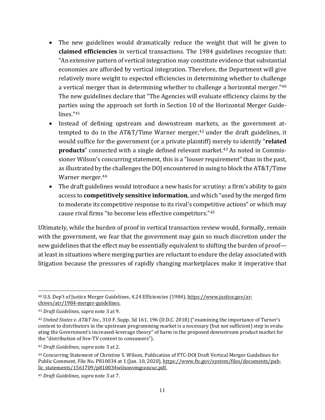- The new guidelines would dramatically reduce the weight that will be given to **claimed efficiencies** in vertical transactions. The 1984 guidelines recognize that: "An extensive pattern of vertical integration may constitute evidence that substantial economies are afforded by vertical integration. Therefore, the Department will give relatively more weight to expected efficiencies in determining whether to challenge a vertical merger than in determining whether to challenge a horizontal merger."[40](#page-11-0) The new guidelines declare that "The Agencies will evaluate efficiency claims by the parties using the approach set forth in Section 10 of the Horizontal Merger Guidelines."[41](#page-11-1)
- Instead of defining upstream and downstream markets, as the government attempted to do in the  $AT&T/T$ ime Warner merger,<sup>[42](#page-11-2)</sup> under the draft guidelines, it would suffice for the government (or a private plaintiff) merely to identify "**related products**" connected with a single defined relevant market.<sup>[43](#page-11-3)</sup> As noted in Commissioner Wilson's concurring statement, this is a "looser requirement" than in the past, as illustrated by the challenges the DOJ encountered in suing to block the AT&T/Time Warner merger.[44](#page-11-4)
- The draft guidelines would introduce a new basis for scrutiny: a firm's ability to gain access to **competitively sensitive information**, and which "used by the merged firm to moderate its competitive response to its rival's competitive actions" or which may cause rival firms "to become less effective competitors."[45](#page-11-5)

Ultimately, while the burden of proof in vertical transaction review would, formally, remain with the government, we fear that the government may gain so much discretion under the new guidelines that the effect may be essentially equivalent to shifting the burden of proof at least in situations where merging parties are reluctant to endure the delay associated with litigation because the pressures of rapidly changing marketplaces make it imperative that

<span id="page-11-0"></span><sup>40</sup> U.S. Dep't of Justice Merger Guidelines, 4.24 Efficiencies (1984), [https://www.justice.gov/ar](https://www.justice.gov/archives/atr/1984-merger-guidelines)[chives/atr/1984-merger-guidelines.](https://www.justice.gov/archives/atr/1984-merger-guidelines)

<span id="page-11-1"></span><sup>41</sup> *Draft Guidelines*, *supra* not[e 3](#page-2-6) at 9.

<span id="page-11-2"></span><sup>42</sup> *United States v. AT&T Inc*., 310 F. Supp. 3d 161, 196 (D.D.C. 2018) ("examining the importance of Turner's content to distributors in the upstream programming market is a necessary (but not sufficient) step in evaluating the Government's increased-leverage theory" of harm in the proposed downstream product market for the "distribution of live-TV content to consumers").

<span id="page-11-3"></span><sup>43</sup> *Draft Guidelines*, *supra* not[e 3](#page-2-6) at 2.

<span id="page-11-4"></span><sup>44</sup> Concurring Statement of Christine S. Wilson, Publication of FTC-DOJ Draft Vertical Merger Guidelines for Public Comment, File No. P810034 at 1 (Jan. 10, 2020), [https://www.ftc.gov/system/files/documents/pub](https://www.ftc.gov/system/files/documents/public_statements/1561709/p810034wilsonvmgconcur.pdf)[lic\\_statements/1561709/p810034wilsonvmgconcur.pdf.](https://www.ftc.gov/system/files/documents/public_statements/1561709/p810034wilsonvmgconcur.pdf)

<span id="page-11-5"></span><sup>45</sup> *Draft Guidelines*, *supra* not[e 3](#page-2-6) at 7.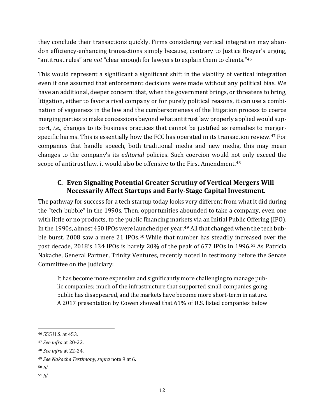they conclude their transactions quickly. Firms considering vertical integration may abandon efficiency-enhancing transactions simply because, contrary to Justice Breyer's urging, "antitrust rules" are *not* "clear enough for lawyers to explain them to clients."[46](#page-12-1)

This would represent a significant a significant shift in the viability of vertical integration even if one assumed that enforcement decisions were made without any political bias. We have an additional, deeper concern: that, when the government brings, or threatens to bring, litigation, either to favor a rival company or for purely political reasons, it can use a combination of vagueness in the law and the cumbersomeness of the litigation process to coerce merging parties to make concessions beyond what antitrust law properly applied would support, *i.e.*, changes to its business practices that cannot be justified as remedies to mergerspecific harms. This is essentially how the FCC has operated in its transaction review. [47](#page-12-2) For companies that handle speech, both traditional media and new media, this may mean changes to the company's its *editorial* policies. Such coercion would not only exceed the scope of antitrust law, it would also be offensive to the First Amendment.<sup>[48](#page-12-3)</sup>

#### <span id="page-12-0"></span>**C. Even Signaling Potential Greater Scrutiny of Vertical Mergers Will Necessarily Affect Startups and Early-Stage Capital Investment.**

The pathway for success for a tech startup today looks very different from what it did during the "tech bubble" in the 1990s. Then, opportunities abounded to take a company, even one with little or no products, to the public financing markets via an Initial Public Offering (IPO). In the 1990s, almost 450 IPOs were launched per year. [49](#page-12-4) All that changed when the tech bub-ble burst. 2008 saw a mere 21 IPOs.<sup>[50](#page-12-5)</sup> While that number has steadily increased over the past decade, 2018's 134 IPOs is barely 20% of the peak of 677 IPOs in 1996.[51](#page-12-6) As Patricia Nakache, General Partner, Trinity Ventures, recently noted in testimony before the Senate Committee on the Judiciary:

It has become more expensive and significantly more challenging to manage public companies; much of the infrastructure that supported small companies going public has disappeared, and the markets have become more short-term in nature. A 2017 presentation by Cowen showed that 61% of U.S. listed companies below

<span id="page-12-1"></span><sup>46</sup> 555 U.S. at 453.

<span id="page-12-2"></span><sup>47</sup> *See infra* a[t 20-](#page-21-0)[22.](#page-23-0)

<span id="page-12-3"></span><sup>48</sup> *See infra* a[t 22-](#page-23-0)[24.](#page-26-0)

<span id="page-12-4"></span><sup>49</sup> *See Nakache Testimony, supra* note [9](#page-3-3) at 6.

<span id="page-12-5"></span><sup>50</sup> *Id.*

<span id="page-12-6"></span><sup>51</sup> *Id.*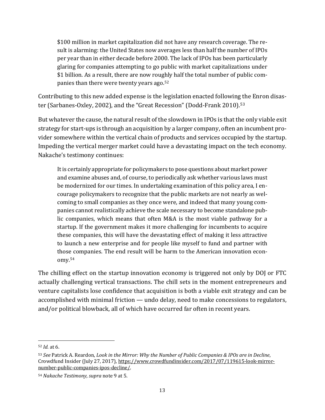\$100 million in market capitalization did not have any research coverage. The result is alarming: the United States now averages less than half the number of IPOs per year than in either decade before 2000. The lack of IPOs has been particularly glaring for companies attempting to go public with market capitalizations under \$1 billion. As a result, there are now roughly half the total number of public companies than there were twenty years ago. [52](#page-13-0)

Contributing to this new added expense is the legislation enacted following the Enron disas-ter (Sarbanes-Oxley, 2002), and the "Great Recession" (Dodd-Frank 2010).<sup>[53](#page-13-1)</sup>

But whatever the cause, the natural result of the slowdown in IPOs is that the only viable exit strategy for start-ups is through an acquisition by a larger company, often an incumbent provider somewhere within the vertical chain of products and services occupied by the startup. Impeding the vertical merger market could have a devastating impact on the tech economy. Nakache's testimony continues:

It is certainly appropriate for policymakers to pose questions about market power and examine abuses and, of course, to periodically ask whether various laws must be modernized for our times. In undertaking examination of this policy area, I encourage policymakers to recognize that the public markets are not nearly as welcoming to small companies as they once were, and indeed that many young companies cannot realistically achieve the scale necessary to become standalone public companies, which means that often M&A is the most viable pathway for a startup. If the government makes it more challenging for incumbents to acquire these companies, this will have the devastating effect of making it less attractive to launch a new enterprise and for people like myself to fund and partner with those companies. The end result will be harm to the American innovation economy.[54](#page-13-2)

The chilling effect on the startup innovation economy is triggered not only by DOJ or FTC actually challenging vertical transactions. The chill sets in the moment entrepreneurs and venture capitalists lose confidence that acquisition is both a viable exit strategy and can be accomplished with minimal friction — undo delay, need to make concessions to regulators, and/or political blowback, all of which have occurred far often in recent years.

<span id="page-13-0"></span><sup>52</sup> *Id.* at 6.

<span id="page-13-1"></span><sup>53</sup> *See* Patrick A. Reardon, *Look in the Mirror: Why the Number of Public Companies & IPOs are in Decline*, Crowdfund Insider (July 27, 2017), [https://www.crowdfundinsider.com/2017/07/119615-look-mirror](https://www.crowdfundinsider.com/2017/07/119615-look-mirror-number-public-companies-ipos-decline/)[number-public-companies-ipos-decline/.](https://www.crowdfundinsider.com/2017/07/119615-look-mirror-number-public-companies-ipos-decline/) 

<span id="page-13-2"></span><sup>54</sup> *Nakache Testimony, supra* note [9](#page-3-3) at 5.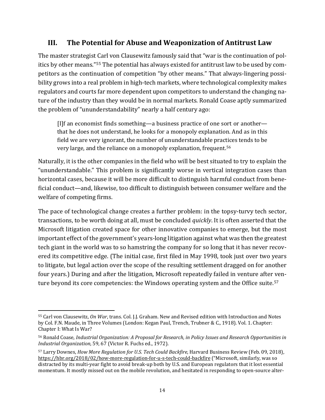### **III. The Potential for Abuse and Weaponization of Antitrust Law**

The master strategist Carl von Clausewitz famously said that "war is the continuation of politics by other means."[55](#page-14-0) The potential has always existed for antitrust law to be used by competitors as the continuation of competition "by other means." That always-lingering possibility grows into a real problem in high-tech markets, where technological complexity makes regulators and courts far more dependent upon competitors to understand the changing nature of the industry than they would be in normal markets. Ronald Coase aptly summarized the problem of "ununderstandability" nearly a half century ago:

[I]f an economist finds something—a business practice of one sort or another that he does not understand, he looks for a monopoly explanation. And as in this field we are very ignorant, the number of ununderstandable practices tends to be very large, and the reliance on a monopoly explanation, frequent.[56](#page-14-1)

Naturally, it is the other companies in the field who will be best situated to try to explain the "ununderstandable." This problem is significantly worse in vertical integration cases than horizontal cases, because it will be more difficult to distinguish harmful conduct from beneficial conduct—and, likewise, too difficult to distinguish between consumer welfare and the welfare of competing firms.

The pace of technological change creates a further problem: in the topsy-turvy tech sector, transactions, to be worth doing at all, must be concluded *quickly*. It is often asserted that the Microsoft litigation created space for other innovative companies to emerge, but the most important effect of the government's years-long litigation against what was then the greatest tech giant in the world was to so hamstring the company for so long that it has never recovered its competitive edge. (The initial case, first filed in May 1998, took just over two years to litigate, but legal action over the scope of the resulting settlement dragged on for another four years.) During and after the litigation, Microsoft repeatedly failed in venture after ven-ture beyond its core competencies: the Windows operating system and the Office suite.<sup>[57](#page-14-2)</sup>

<span id="page-14-0"></span><sup>55</sup> Carl von Clausewitz, *On War*, trans. Col. J.J. Graham. New and Revised edition with Introduction and Notes by Col. F.N. Maude, in Three Volumes (London: Kegan Paul, Trench, Trubner & C., 1918). Vol. 1. Chapter: Chapter I: What Is War?

<span id="page-14-1"></span><sup>56</sup> Ronald Coase, *Industrial Organization: A Proposal for Research, in Policy Issues and Research Opportunities in Industrial Organization,* 59, 67 (Victor R. Fuchs ed., 1972).

<span id="page-14-2"></span><sup>57</sup> Larry Downes, *How More Regulation for U.S. Tech Could Backfire*, Harvard Business Review (Feb. 09, 2018), <https://hbr.org/2018/02/how-more-regulation-for-u-s-tech-could-backfire> ("Microsoft, similarly, was so distracted by its multi-year fight to avoid break-up both by U.S. and European regulators that it lost essential momentum. It mostly missed out on the mobile revolution, and hesitated in responding to open-source alter-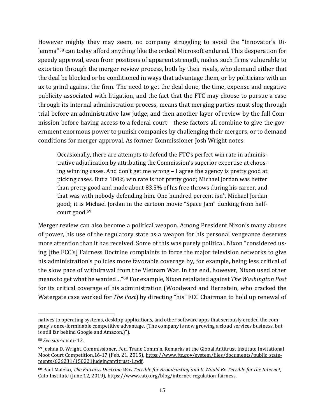However mighty they may seem, no company struggling to avoid the "Innovator's Dilemma"[58](#page-15-0) can today afford anything like the ordeal Microsoft endured. This desperation for speedy approval, even from positions of apparent strength, makes such firms vulnerable to extortion through the merger review process, both by their rivals, who demand either that the deal be blocked or be conditioned in ways that advantage them, or by politicians with an ax to grind against the firm. The need to get the deal done, the time, expense and negative publicity associated with litigation, and the fact that the FTC may choose to pursue a case through its internal administration process, means that merging parties must slog through trial before an administrative law judge, and then another layer of review by the full Commission before having access to a federal court—these factors all combine to give the government enormous power to punish companies by challenging their mergers, or to demand conditions for merger approval. As former Commissioner Josh Wright notes:

Occasionally, there are attempts to defend the FTC's perfect win rate in administrative adjudication by attributing the Commission's superior expertise at choosing winning cases. And don't get me wrong – I agree the agency is pretty good at picking cases. But a 100% win rate is not pretty good; Michael Jordan was better than pretty good and made about 83.5% of his free throws during his career, and that was with nobody defending him. One hundred percent isn't Michael Jordan good; it is Michael Jordan in the cartoon movie "Space Jam" dunking from halfcourt good.[59](#page-15-1)

<span id="page-15-3"></span>Merger review can also become a political weapon. Among President Nixon's many abuses of power, his use of the regulatory state as a weapon for his personal vengeance deserves more attention than it has received. Some of this was purely political. Nixon "considered using [the FCC's] Fairness Doctrine complaints to force the major television networks to give his administration's policies more favorable coverage by, for example, being less critical of the slow pace of withdrawal from the Vietnam War. In the end, however, Nixon used other means to get what he wanted…"[60](#page-15-2) For example, Nixon retaliated against *The Washington Post* for its critical coverage of his administration (Woodward and Bernstein, who cracked the Watergate case worked for *The Post*) by directing "his" FCC Chairman to hold up renewal of

natives to operating systems, desktop applications, and other software apps that seriously eroded the company's once-formidable competitive advantage. (The company is now growing a cloud services business, but is still far behind Google and Amazon.)").

<span id="page-15-0"></span><sup>58</sup> *See supra* note [13.](#page-5-5)

<span id="page-15-1"></span><sup>59</sup> Joshua D. Wright, Commissioner, Fed. Trade Comm'n, Remarks at the Global Antitrust Institute Invitational Moot Court Competition,16-17 (Feb. 21, 2015)[, https://www.ftc.gov/system/files/documents/public\\_state](https://www.ftc.gov/system/files/documents/public_statements/626231/150221judgingantitrust-1.pdf)[ments/626231/150221judgingantitrust-1.pdf.](https://www.ftc.gov/system/files/documents/public_statements/626231/150221judgingantitrust-1.pdf)

<span id="page-15-2"></span><sup>60</sup> Paul Matzko, *The Fairness Doctrine Was Terrible for Broadcasting and It Would Be Terrible for the Internet*, Cato Institute (June 12, 2019), https://www.cato.org/blog/internet-regulation-fairness.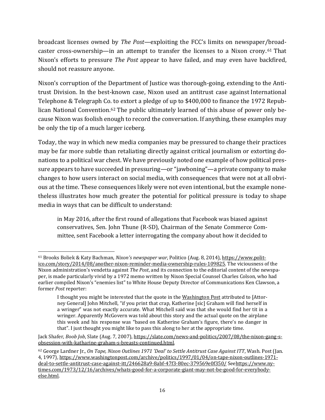broadcast licenses owned by *The Post*—exploiting the FCC's limits on newspaper/broadcaster cross-ownership—in an attempt to transfer the licenses to a Nixon crony. [61](#page-16-0) That Nixon's efforts to pressure *The Post* appear to have failed, and may even have backfired, should not reassure anyone.

Nixon's corruption of the Department of Justice was thorough-going, extending to the Antitrust Division. In the best-known case, Nixon used an antitrust case against International Telephone & Telegraph Co. to extort a pledge of up to \$400,000 to finance the 1972 Repub-lican National Convention.<sup>[62](#page-16-1)</sup> The public ultimately learned of this abuse of power only because Nixon was foolish enough to record the conversation. If anything, these examples may be only the tip of a much larger iceberg.

Today, the way in which new media companies may be pressured to change their practices may be far more subtle than retaliating directly against critical journalism or extorting donations to a political war chest. We have previously noted one example of how political pressure appears to have succeeded in pressuring—or "jawboning"—a private company to make changes to how users interact on social media, with consequences that were not at all obvious at the time. These consequences likely were not even intentional, but the example nonetheless illustrates how much greater the potential for political pressure is today to shape media in ways that can be difficult to understand:

in May 2016, after the first round of allegations that Facebook was biased against conservatives, Sen. John Thune (R-SD), Chairman of the Senate Commerce Committee, sent Facebook a letter interrogating the company about how it decided to

<span id="page-16-0"></span><sup>61</sup> Brooks Boliek & Katy Bachman, *Nixon's newspaper war*, Politico (Aug. 8, 2014), [https://www.polit](https://www.politico.com/story/2014/08/another-nixon-reminder-media-ownership-rules-109825)[ico.com/story/2014/08/another-nixon-reminder-media-ownership-rules-109825.](https://www.politico.com/story/2014/08/another-nixon-reminder-media-ownership-rules-109825) The viciousness of the Nixon administration's vendetta against *The Post*, and its connection to the editorial content of the newspaper, is made particularly vivid by a 1972 memo written by Nixon Special Counsel Charles Colson, who had earlier compiled Nixon's "enemies list" to White House Deputy Director of Communications Ken Clawson, a former *Post* reporter:

I thought you might be interested that the quote in the Washington Post attributed to [Attorney General] John Mitchell, "if you print that crap, Katherine [sic] Graham will find herself in a wringer" was not exactly accurate. What Mitchell said was that she would find her tit in a wringer. Apparently McGovern was told about this story and the actual quote on the airplane this week and his response was "based on Katherine Graham's figure, there's no danger in that". I just thought you might like to pass this along to her at the appropriate time.

Jack Shafer, *Boob Job*, Slate (Aug. 7, 2007), [https://slate.com/news-and-politics/2007/08/the-nixon-gang-s](https://slate.com/news-and-politics/2007/08/the-nixon-gang-s-obsession-with-katharine-graham-s-breasts-continued.html)[obsession-with-katharine-graham-s-breasts-continued.html.](https://slate.com/news-and-politics/2007/08/the-nixon-gang-s-obsession-with-katharine-graham-s-breasts-continued.html)

<span id="page-16-1"></span><sup>62</sup> George Lardner Jr., *On Tape, Nixon Outlines 1971 'Deal' to Settle Antitrust Case Against ITT*, Wash. Post (Jan. 4, 1997), https://www.washingtonpost.com/archive/politics/1997/01/04/on-tape-nixon-outlines-1971 deal-to-settle-antitrust-case-against-itt/246628a9-8abf-47f3-80ec-379569e0f350/ Se[ehttps://www.ny](https://www.nytimes.com/1973/12/16/archives/whats-good-for-a-corporate-giant-may-not-be-good-for-everybody-else.html)[times.com/1973/12/16/archives/whats-good-for-a-corporate-giant-may-not-be-good-for-everybody](https://www.nytimes.com/1973/12/16/archives/whats-good-for-a-corporate-giant-may-not-be-good-for-everybody-else.html)[else.html.](https://www.nytimes.com/1973/12/16/archives/whats-good-for-a-corporate-giant-may-not-be-good-for-everybody-else.html)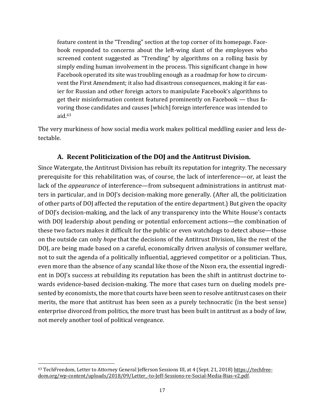feature content in the "Trending" section at the top corner of its homepage. Facebook responded to concerns about the left-wing slant of the employees who screened content suggested as "Trending" by algorithms on a rolling basis by simply ending human involvement in the process. This significant change in how Facebook operated its site was troubling enough as a roadmap for how to circumvent the First Amendment; it also had disastrous consequences, making it far easier for Russian and other foreign actors to manipulate Facebook's algorithms to get their misinformation content featured prominently on Facebook — thus favoring those candidates and causes [which] foreign interference was intended to aid.[63](#page-17-0)

The very murkiness of how social media work makes political meddling easier and less detectable.

#### **A. Recent Politicization of the DOJ and the Antitrust Division.**

Since Watergate, the Antitrust Division has rebuilt its reputation for integrity. The necessary prerequisite for this rehabilitation was, of course, the lack of interference—or, at least the lack of the *appearance* of interference—from subsequent administrations in antitrust matters in particular, and in DOJ's decision-making more generally. (After all, the politicization of other parts of DOJ affected the reputation of the entire department.) But given the opacity of DOJ's decision-making, and the lack of any transparency into the White House's contacts with DOJ leadership about pending or potential enforcement actions—the combination of these two factors makes it difficult for the public or even watchdogs to detect abuse—those on the outside can only *hope* that the decisions of the Antitrust Division, like the rest of the DOJ, are being made based on a careful, economically driven analysis of consumer welfare, not to suit the agenda of a politically influential, aggrieved competitor or a politician. Thus, even more than the absence of any scandal like those of the Nixon era, the essential ingredient in DOJ's success at rebuilding its reputation has been the shift in antitrust doctrine towards evidence-based decision-making. The more that cases turn on dueling models presented by economists, the more that courts have been seen to resolve antitrust cases on their merits, the more that antitrust has been seen as a purely technocratic (in the best sense) enterprise divorced from politics, the more trust has been built in antitrust as a body of *law*, not merely another tool of political vengeance.

<span id="page-17-0"></span><sup>63</sup> TechFreedom, Letter to Attorney General Jefferson Sessions III, at 4 (Sept. 21, 2018) [https://techfree](https://techfreedom.org/wp-content/uploads/2018/09/Letter_-to-Jeff-Sessions-re-Social-Media-Bias-v2.pdf)[dom.org/wp-content/uploads/2018/09/Letter\\_-to-Jeff-Sessions-re-Social-Media-Bias-v2.pdf.](https://techfreedom.org/wp-content/uploads/2018/09/Letter_-to-Jeff-Sessions-re-Social-Media-Bias-v2.pdf)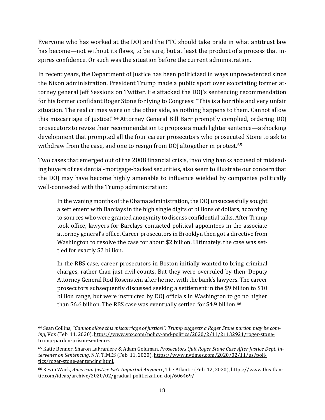Everyone who has worked at the DOJ and the FTC should take pride in what antitrust law has become—not without its flaws, to be sure, but at least the product of a process that inspires confidence. Or such was the situation before the current administration.

In recent years, the Department of Justice has been politicized in ways unprecedented since the Nixon administration. President Trump made a public sport over excoriating former attorney general Jeff Sessions on Twitter. He attacked the DOJ's sentencing recommendation for his former confidant Roger Stone for lying to Congress: "This is a horrible and very unfair situation. The real crimes were on the other side, as nothing happens to them. Cannot allow this miscarriage of justice!"[64](#page-18-0) Attorney General Bill Barr promptly complied, ordering DOJ prosecutors to revise their recommendation to propose a much lighter sentence—a shocking development that prompted all the four career prosecutors who prosecuted Stone to ask to withdraw from the case, and one to resign from DOJ altogether in protest. [65](#page-18-1)

Two cases that emerged out of the 2008 financial crisis, involving banks accused of misleading buyers of residential-mortgage-backed securities, also seem to illustrate our concern that the DOJ may have become highly amenable to influence wielded by companies politically well-connected with the Trump administration:

In the waning months of the Obama administration, the DOJ unsuccessfully sought a settlement with Barclays in the high single digits of billions of dollars, according to sources who were granted anonymity to discuss confidential talks. After Trump took office, lawyers for Barclays contacted political appointees in the associate attorney general's office. Career prosecutors in Brooklyn then got a directive from Washington to resolve the case for about \$2 billion. Ultimately, the case was settled for exactly \$2 billion.

In the RBS case, career prosecutors in Boston initially wanted to bring criminal charges, rather than just civil counts. But they were overruled by then–Deputy Attorney General Rod Rosenstein after he met with the bank's lawyers. The career prosecutors subsequently discussed seeking a settlement in the \$9 billion to \$10 billion range, but were instructed by DOJ officials in Washington to go no higher than \$6.6 billion. The RBS case was eventually settled for \$4.9 billion.<sup>[66](#page-18-2)</sup>

<span id="page-18-0"></span><sup>64</sup> Sean Collins, *"Cannot allow this miscarriage of justice!": Trump suggests a Roger Stone pardon may be coming*, Vox (Feb. 11, 2020)[, https://www.vox.com/policy-and-politics/2020/2/11/21132921/roger-stone](https://www.vox.com/policy-and-politics/2020/2/11/21132921/roger-stone-trump-pardon-prison-sentence)[trump-pardon-prison-sentence.](https://www.vox.com/policy-and-politics/2020/2/11/21132921/roger-stone-trump-pardon-prison-sentence) 

<span id="page-18-1"></span><sup>65</sup> Katie Benner, Sharon LaFraniere & Adam Goldman, *Prosecutors Quit Roger Stone Case After Justice Dept. Intervenes on Sentencing*, N.Y. TIMES (Feb. 11, 2020), [https://www.nytimes.com/2020/02/11/us/poli](https://www.nytimes.com/2020/02/11/us/politics/roger-stone-sentencing.html)[tics/roger-stone-sentencing.html.](https://www.nytimes.com/2020/02/11/us/politics/roger-stone-sentencing.html) 

<span id="page-18-2"></span><sup>66</sup> Kevin Wack, *American Justice Isn't Impartial Anymore*, The Atlantic (Feb. 12, 2020)[, https://www.theatlan](https://www.theatlantic.com/ideas/archive/2020/02/gradual-politicization-doj/606469/)[tic.com/ideas/archive/2020/02/gradual-politicization-doj/606469/.](https://www.theatlantic.com/ideas/archive/2020/02/gradual-politicization-doj/606469/)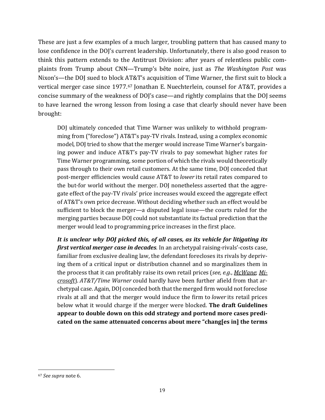These are just a few examples of a much larger, troubling pattern that has caused many to lose confidence in the DOJ's current leadership. Unfortunately, there is also good reason to think this pattern extends to the Antitrust Division: after years of relentless public complaints from Trump about CNN—Trump's bête noire, just as *The Washington Post* was Nixon's—the DOJ sued to block AT&T's acquisition of Time Warner, the first suit to block a vertical merger case since 1977.<sup>[67](#page-19-0)</sup> Jonathan E. Nuechterlein, counsel for AT&T, provides a concise summary of the weakness of DOJ's case—and rightly complains that the DOJ seems to have learned the wrong lesson from losing a case that clearly should never have been brought:

DOJ ultimately conceded that Time Warner was unlikely to withhold programming from ("foreclose") AT&T's pay-TV rivals. Instead, using a complex economic model, DOJ tried to show that the merger would increase Time Warner's bargaining power and induce AT&T's pay-TV rivals to pay somewhat higher rates for Time Warner programming, some portion of which the rivals would theoretically pass through to their own retail customers. At the same time, DOJ conceded that post-merger efficiencies would cause AT&T to *lower* its retail rates compared to the but-for world without the merger. DOJ nonetheless asserted that the aggregate effect of the pay-TV rivals' price increases would exceed the aggregate effect of AT&T's own price decrease. Without deciding whether such an effect would be sufficient to block the merger—a disputed legal issue—the courts ruled for the merging parties because DOJ could not substantiate its factual prediction that the merger would lead to programming price increases in the first place.

*It is unclear why DOJ picked this, of all cases, as its vehicle for litigating its first vertical merger case in decades*. In an archetypal raising-rivals'-costs case, familiar from exclusive dealing law, the defendant forecloses its rivals by depriving them of a critical input or distribution channel and so marginalizes them in the process that it can profitably raise its own retail prices (*see, e.g.*, *[McWane](https://casetext.com/case/mcwane-inc-v-fed-trade-commn)*; *[Mi](https://casetext.com/case/us-v-microsoft-corp-6)[crosoft](https://casetext.com/case/us-v-microsoft-corp-6)*). *AT&T/Time Warner* could hardly have been further afield from that archetypal case. Again, DOJ conceded both that the merged firm would not foreclose rivals at all and that the merger would induce the firm to *lower* its retail prices below what it would charge if the merger were blocked. **The draft Guidelines appear to double down on this odd strategy and portend more cases predicated on the same attenuated concerns about mere "chang[es in] the terms** 

<span id="page-19-0"></span><sup>67</sup> *See supra* note [6.](#page-2-7)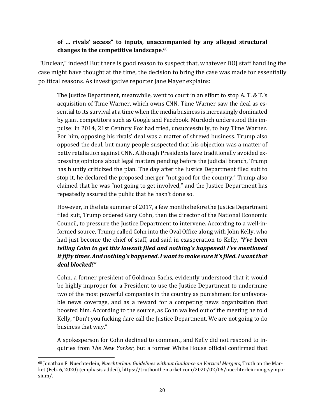#### **of … rivals' access" to inputs, unaccompanied by any alleged structural changes in the competitive landscape**. [68](#page-20-0)

"Unclear," indeed! But there is good reason to suspect that, whatever DOJ staff handling the case might have thought at the time, the decision to bring the case was made for essentially political reasons. As investigative reporter Jane Mayer explains:

The Justice Department, meanwhile, went to court in an effort to stop A. T. & T.'s acquisition of Time Warner, which owns CNN. Time Warner saw the deal as essential to its survival at a time when the media business is increasingly dominated by giant competitors such as Google and Facebook. Murdoch understood this impulse: in 2014, 21st Century Fox had tried, unsuccessfully, to buy Time Warner. For him, opposing his rivals' deal was a matter of shrewd business. Trump also opposed the deal, but many people suspected that his objection was a matter of petty retaliation against CNN. Although Presidents have traditionally avoided expressing opinions about legal matters pending before the judicial branch, Trump has bluntly criticized the plan. The day after the Justice Department filed suit to stop it, he declared the proposed merger "not good for the country." Trump also claimed that he was "not going to get involved," and the Justice Department has repeatedly assured the public that he hasn't done so.

However, in the late summer of 2017, a few months before the Justice Department filed suit, Trump ordered Gary Cohn, then the director of the National Economic Council, to pressure the Justice Department to intervene. According to a well-informed source, Trump called Cohn into the Oval Office along with John Kelly, who had just become the chief of staff, and said in exasperation to Kelly, *"I've been telling Cohn to get this lawsuit filed and nothing's happened! I've mentioned it fifty times. And nothing's happened. I want to make sure it's filed. I want that deal blocked!"*

Cohn, a former president of Goldman Sachs, evidently understood that it would be highly improper for a President to use the Justice Department to undermine two of the most powerful companies in the country as punishment for unfavorable news coverage, and as a reward for a competing news organization that boosted him. According to the source, as Cohn walked out of the meeting he told Kelly, "Don't you fucking dare call the Justice Department. We are not going to do business that way."

A spokesperson for Cohn declined to comment, and Kelly did not respond to inquiries from *The New Yorker*, but a former White House official confirmed that

<span id="page-20-0"></span><sup>68</sup> Jonathan E. Nuechterlein, *Nuechterlein: Guidelines without Guidance on Vertical Mergers*, Truth on the Mar-ket (Feb. 6, 2020) (emphasis added)[, https://truthonthemarket.com/2020/02/06/nuechterlein-vmg-sympo](https://truthonthemarket.com/2020/02/06/nuechterlein-vmg-symposium/)[sium/.](https://truthonthemarket.com/2020/02/06/nuechterlein-vmg-symposium/)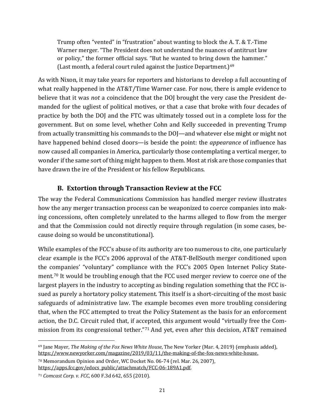<span id="page-21-4"></span>Trump often "vented" in "frustration" about wanting to block the A. T. & T.-Time Warner merger. "The President does not understand the nuances of antitrust law or policy," the former official says. "But he wanted to bring down the hammer." (Last month, a federal court ruled against the Justice Department.)<sup>[69](#page-21-1)</sup>

As with Nixon, it may take years for reporters and historians to develop a full accounting of what really happened in the AT&T/Time Warner case. For now, there is ample evidence to believe that it was *not* a coincidence that the DOJ brought the very case the President demanded for the ugliest of political motives, or that a case that broke with four decades of practice by both the DOJ and the FTC was ultimately tossed out in a complete loss for the government. But on some level, whether Cohn and Kelly succeeded in preventing Trump from actually transmitting his commands to the DOJ—and whatever else might or might not have happened behind closed doors—is beside the point: the *appearance* of influence has now caused all companies in America, particularly those contemplating a vertical merger, to wonder if the same sort of thing might happen to them. Most at risk are those companies that have drawn the ire of the President or his fellow Republicans.

### **B. Extortion through Transaction Review at the FCC**

<span id="page-21-0"></span>The way the Federal Communications Commission has handled merger review illustrates how the any merger transaction process can be weaponized to coerce companies into making concessions, often completely unrelated to the harms alleged to flow from the merger and that the Commission could not directly require through regulation (in some cases, because doing so would be unconstitutional).

While examples of the FCC's abuse of its authority are too numerous to cite, one particularly clear example is the FCC's 2006 approval of the AT&T-BellSouth merger conditioned upon the companies' "voluntary" compliance with the FCC's 2005 Open Internet Policy Statement. [70](#page-21-2) It would be troubling enough that the FCC used merger review to coerce one of the largest players in the industry to accepting as binding regulation something that the FCC issued as purely a hortatory policy statement. This itself is a short-circuiting of the most basic safeguards of administrative law. The example becomes even more troubling considering that, when the FCC attempted to treat the Policy Statement as the basis for an enforcement action, the D.C. Circuit ruled that, if accepted, this argument would "virtually free the Commission from its congressional tether."[71](#page-21-3) And yet, even after this decision, AT&T remained

<span id="page-21-1"></span><sup>69</sup> Jane Mayer, *The Making of the Fox News White House*, The New Yorker (Mar. 4, 2019) (emphasis added), https://www.newyorker.com/magazine/2019/03/11/the-making-of-the-fox-news-white-house.

<span id="page-21-2"></span><sup>70</sup> Memorandum Opinion and Order, WC Docket No. 06-74 (rel. Mar. 26, 2007), [https://apps.fcc.gov/edocs\\_public/attachmatch/FCC-06-189A1.pdf.](https://apps.fcc.gov/edocs_public/attachmatch/FCC-06-189A1.pdf) 

<span id="page-21-3"></span><sup>71</sup> *Comcast Corp. v. FCC*, 600 F.3d 642, 655 (2010).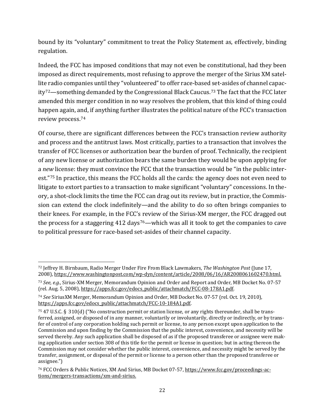bound by its "voluntary" commitment to treat the Policy Statement as, effectively, binding regulation.

Indeed, the FCC has imposed conditions that may not even be constitutional, had they been imposed as direct requirements, most refusing to approve the merger of the Sirius XM satellite radio companies until they "volunteered" to offer race-based set-asides of channel capac-ity<sup>72</sup>—something demanded by the Congressional Black Caucus.<sup>[73](#page-22-1)</sup> The fact that the FCC later amended this merger condition in no way resolves the problem, that this kind of thing could happen again, and, if anything further illustrates the political nature of the FCC's transaction review process.[74](#page-22-2)

Of course, there are significant differences between the FCC's transaction review authority and process and the antitrust laws. Most critically, parties to a transaction that involves the transfer of FCC licenses or authorization bear the burden of proof. Technically, the recipient of any new license or authorization bears the same burden they would be upon applying for a *new* license: they must convince the FCC that the transaction would be "in the public interest."[75](#page-22-3) In practice, this means the FCC holds all the cards: the agency does not even need to litigate to extort parties to a transaction to make significant "voluntary" concessions. In theory, a shot-clock limits the time the FCC can drag out its review, but in practice, the Commission can extend the clock indefinitely—and the ability to do so often brings companies to their knees. For example, in the FCC's review of the Sirius-XM merger, the FCC dragged out the process for a staggering  $412 \text{ days}^{76}$  $412 \text{ days}^{76}$  $412 \text{ days}^{76}$ —which was all it took to get the companies to cave to political pressure for race-based set-asides of their channel capacity.

<span id="page-22-0"></span><sup>72</sup> Jeffrey H. Birnbaum, Radio Merger Under Fire From Black Lawmakers, *The Washington Post* (June 17, 2008)[, https://www.washingtonpost.com/wp-dyn/content/article/2008/06/16/AR2008061602470.html.](https://www.washingtonpost.com/wp-dyn/content/article/2008/06/16/AR2008061602470.html)

<span id="page-22-1"></span><sup>73</sup> *See, e.g.*, Sirius-XM Merger, Memorandum Opinion and Order and Report and Order, MB Docket No. 07-57 (rel. Aug. 5, 2008), [https://apps.fcc.gov/edocs\\_public/attachmatch/FCC-08-178A1.pdf.](https://apps.fcc.gov/edocs_public/attachmatch/FCC-08-178A1.pdf)

<span id="page-22-2"></span><sup>74</sup> *See* SiriusXM Merger, Memorandum Opinion and Order, MB Docket No. 07-57 (rel. Oct. 19, 2010), [https://apps.fcc.gov/edocs\\_public/attachmatch/FCC-10-184A1.pdf.](https://apps.fcc.gov/edocs_public/attachmatch/FCC-10-184A1.pdf)

<span id="page-22-3"></span><sup>75</sup> 47 U.S.C. §  310(d) ("No construction permit or station license, or any rights thereunder, shall be transferred, assigned, or disposed of in any manner, voluntarily or involuntarily, directly or indirectly, or by transfer of control of any corporation holding such permit or license, to any person except upon application to the Commission and upon finding by the Commission that the public interest, convenience, and necessity will be served thereby. Any such application shall be disposed of as if the proposed transferee or assignee were making application under section 308 of this title for the permit or license in question; but in acting thereon the Commission may not consider whether the public interest, convenience, and necessity might be served by the transfer, assignment, or disposal of the permit or license to a person other than the proposed transferee or assignee.")

<span id="page-22-4"></span><sup>76</sup> FCC Orders & Public Notices, XM And Sirius, MB Docket 07-57, [https://www.fcc.gov/proceedings-ac](https://www.fcc.gov/proceedings-actions/mergers-transactions/xm-and-sirius)[tions/mergers-transactions/xm-and-sirius.](https://www.fcc.gov/proceedings-actions/mergers-transactions/xm-and-sirius)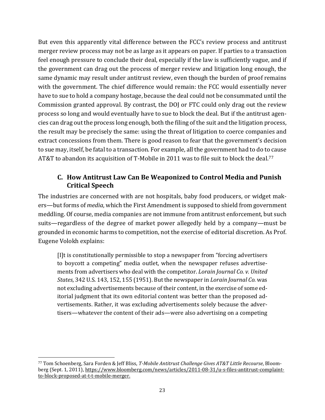But even this apparently vital difference between the FCC's review process and antitrust merger review process may not be as large as it appears on paper. If parties to a transaction feel enough pressure to conclude their deal, especially if the law is sufficiently vague, and if the government can drag out the process of merger review and litigation long enough, the same dynamic may result under antitrust review, even though the burden of proof remains with the government. The chief difference would remain: the FCC would essentially never have to sue to hold a company hostage, because the deal could not be consummated until the Commission granted approval. By contrast, the DOJ or FTC could only drag out the review process so long and would eventually have to sue to block the deal. But if the antitrust agencies can drag out the process long enough, both the filing of the suit and the litigation process, the result may be precisely the same: using the threat of litigation to coerce companies and extract concessions from them. There is good reason to fear that the government's decision to sue may, itself, be fatal to a transaction. For example, all the government had to do to cause AT&T to abandon its acquisition of T-Mobile in 2011 was to file suit to block the deal.<sup>[77](#page-23-1)</sup>

#### <span id="page-23-0"></span>**C. How Antitrust Law Can Be Weaponized to Control Media and Punish Critical Speech**

The industries are concerned with are not hospitals, baby food producers, or widget makers—but forms of *media*, which the First Amendment is supposed to shield from government meddling. Of course, media companies are not immune from antitrust enforcement, but such suits—regardless of the degree of market power allegedly held by a company—must be grounded in economic harms to competition, not the exercise of editorial discretion. As Prof. Eugene Volokh explains:

[I]t is constitutionally permissible to stop a newspaper from "forcing advertisers to boycott a competing" media outlet, when the newspaper refuses advertisements from advertisers who deal with the competitor. *Lorain Journal Co. v. United States*, 342 U.S. 143, 152, 155 (1951). But the newspaper in *Lorain Journal Co.* was not excluding advertisements because of their content, in the exercise of some editorial judgment that its own editorial content was better than the proposed advertisements. Rather, it was excluding advertisements solely because the advertisers—whatever the content of their ads—were also advertising on a competing

<span id="page-23-1"></span><sup>77</sup> Tom Schoenberg, Sara Forden & Jeff Bliss, *T-Mobile Antitrust Challenge Gives AT&T Little Recourse*, Bloomberg (Sept. 1, 2011)[, https://www.bloomberg.com/news/articles/2011-08-31/u-s-files-antitrust-complaint](https://www.bloomberg.com/news/articles/2011-08-31/u-s-files-antitrust-complaint-to-block-proposed-at-t-t-mobile-merger)[to-block-proposed-at-t-t-mobile-merger.](https://www.bloomberg.com/news/articles/2011-08-31/u-s-files-antitrust-complaint-to-block-proposed-at-t-t-mobile-merger)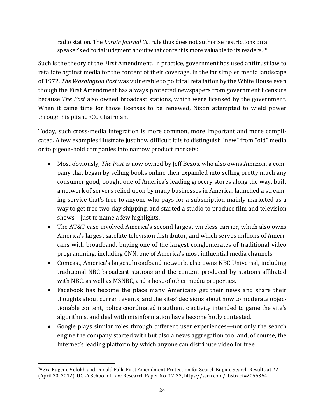radio station. The *Lorain Journal Co.* rule thus does not authorize restrictions on a speaker's editorial judgment about what content is more valuable to its readers.<sup>[78](#page-24-0)</sup>

Such is the theory of the First Amendment. In practice, government has used antitrust law to retaliate against media for the content of their coverage. In the far simpler media landscape of 1972, *The Washington Post* was vulnerable to political retaliation by the White House even though the First Amendment has always protected newspapers from government licensure because *The Post* also owned broadcast stations, which were licensed by the government. When it came time for those licenses to be renewed, Nixon attempted to wield power through his pliant FCC Chairman.

Today, such cross-media integration is more common, more important and more complicated. A few examples illustrate just how difficult it is to distinguish "new" from "old" media or to pigeon-hold companies into narrow product markets:

- Most obviously, *The Post* is now owned by Jeff Bezos, who also owns Amazon, a company that began by selling books online then expanded into selling pretty much any consumer good, bought one of America's leading grocery stores along the way, built a network of servers relied upon by many businesses in America, launched a streaming service that's free to anyone who pays for a subscription mainly marketed as a way to get free two-day shipping, and started a studio to produce film and television shows—just to name a few highlights.
- The AT&T case involved America's second largest wireless carrier, which also owns America's largest satellite television distributor, and which serves millions of Americans with broadband, buying one of the largest conglomerates of traditional video programming, including CNN, one of America's most influential media channels.
- Comcast, America's largest broadband network, also owns NBC Universal, including traditional NBC broadcast stations and the content produced by stations affiliated with NBC, as well as MSNBC, and a host of other media properties.
- Facebook has become the place many Americans get their news and share their thoughts about current events, and the sites' decisions about how to moderate objectionable content, police coordinated inauthentic activity intended to game the site's algorithms, and deal with misinformation have become hotly contested.
- Google plays similar roles through different user experiences—not only the search engine the company started with but also a news aggregation tool and, of course, the Internet's leading platform by which anyone can distribute video for free.

<span id="page-24-0"></span><sup>78</sup> *See* Eugene Volokh and Donald Falk, First Amendment Protection for Search Engine Search Results at 22 (April 20, 2012). UCLA School of Law Research Paper No. 12-22, https://ssrn.com/abstract=2055364.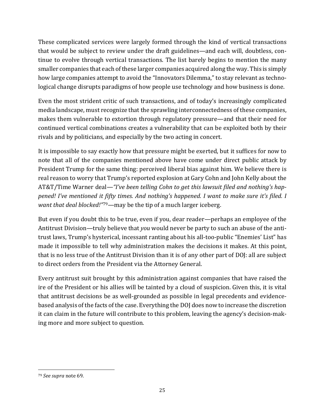These complicated services were largely formed through the kind of vertical transactions that would be subject to review under the draft guidelines—and each will, doubtless, continue to evolve through vertical transactions. The list barely begins to mention the many smaller companies that each of these larger companies acquired along the way. This is simply how large companies attempt to avoid the "Innovators Dilemma," to stay relevant as technological change disrupts paradigms of how people use technology and how business is done.

Even the most strident critic of such transactions, and of today's increasingly complicated media landscape, must recognize that the sprawling interconnectedness of these companies, makes them vulnerable to extortion through regulatory pressure—and that their need for continued vertical combinations creates a vulnerability that can be exploited both by their rivals and by politicians, and especially by the two acting in concert.

It is impossible to say exactly how that pressure might be exerted, but it suffices for now to note that all of the companies mentioned above have come under direct public attack by President Trump for the same thing: perceived liberal bias against him. We believe there is real reason to worry that Trump's reported explosion at Gary Cohn and John Kelly about the AT&T/Time Warner deal—*"I've been telling Cohn to get this lawsuit filed and nothing's happened! I've mentioned it fifty times. And nothing's happened. I want to make sure it's filed. I want that deal blocked!"*[79](#page-25-0)—may be the tip of a much larger iceberg.

But even if you doubt this to be true, even if you, dear reader—perhaps an employee of the Antitrust Division—truly believe that *you* would never be party to such an abuse of the antitrust laws, Trump's hysterical, incessant ranting about his all-too-public "Enemies' List" has made it impossible to tell why administration makes the decisions it makes. At this point, that is no less true of the Antitrust Division than it is of any other part of DOJ: all are subject to direct orders from the President via the Attorney General.

Every antitrust suit brought by this administration against companies that have raised the ire of the President or his allies will be tainted by a cloud of suspicion. Given this, it is vital that antitrust decisions be as well-grounded as possible in legal precedents and evidencebased analysis of the facts of the case. Everything the DOJ does now to increase the discretion it can claim in the future will contribute to this problem, leaving the agency's decision-making more and more subject to question.

<span id="page-25-0"></span><sup>79</sup> *See supra* note [69.](#page-21-4)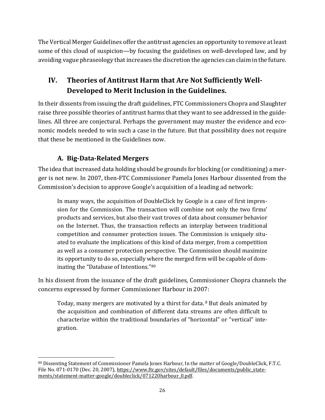The Vertical Merger Guidelines offer the antitrust agencies an opportunity to remove at least some of this cloud of suspicion—by focusing the guidelines on well-developed law, and by avoiding vague phraseology that increases the discretion the agencies can claim in the future.

## <span id="page-26-0"></span>**IV. Theories of Antitrust Harm that Are Not Sufficiently Well-Developed to Merit Inclusion in the Guidelines.**

In their dissents from issuing the draft guidelines, FTC Commissioners Chopra and Slaughter raise three possible theories of antitrust harms that they want to see addressed in the guidelines. All three are conjectural. Perhaps the government may muster the evidence and economic models needed to win such a case in the future. But that possibility does not require that these be mentioned in the Guidelines now.

## **A. Big-Data-Related Mergers**

The idea that increased data holding should be grounds for blocking (or conditioning) a merger is not new. In 2007, then-FTC Commissioner Pamela Jones Harbour dissented from the Commission's decision to approve Google's acquisition of a leading ad network:

In many ways, the acquisition of DoubleClick by Google is a case of first impression for the Commission. The transaction will combine not only the two firms' products and services, but also their vast troves of data about consumer behavior on the Internet. Thus, the transaction reflects an interplay between traditional competition and consumer protection issues. The Commission is uniquely situated to evaluate the implications of this kind of data merger, from a competition as well as a consumer protection perspective. The Commission should maximize its opportunity to do so, especially where the merged firm will be capable of dominating the "Database of Intentions."[80](#page-26-1)

In his dissent from the issuance of the draft guidelines, Commissioner Chopra channels the concerns expressed by former Commissioner Harbour in 2007:

Today, many mergers are motivated by a thirst for data. <sup>8</sup> But deals animated by the acquisition and combination of different data streams are often difficult to characterize within the traditional boundaries of "horizontal" or "vertical" integration.

<span id="page-26-1"></span><sup>80</sup> Dissenting Statement of Commissioner Pamela Jones Harbour, In the matter of Google/DoubleClick, F.T.C. File No. 071-0170 (Dec. 20, 2007), [https://www.ftc.gov/sites/default/files/documents/public\\_state](https://www.ftc.gov/sites/default/files/documents/public_statements/statement-matter-google/doubleclick/071220harbour_0.pdf)[ments/statement-matter-google/doubleclick/071220harbour\\_0.pdf.](https://www.ftc.gov/sites/default/files/documents/public_statements/statement-matter-google/doubleclick/071220harbour_0.pdf)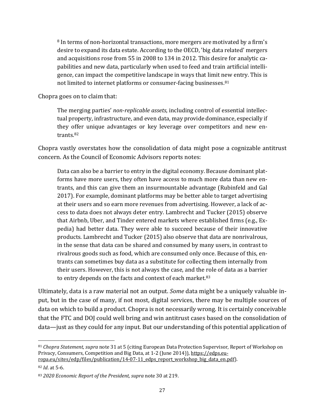<sup>8</sup> In terms of non-horizontal transactions, more mergers are motivated by a firm's desire to expand its data estate. According to the OECD, 'big data related' mergers and acquisitions rose from 55 in 2008 to 134 in 2012. This desire for analytic capabilities and new data, particularly when used to feed and train artificial intelligence, can impact the competitive landscape in ways that limit new entry. This is not limited to internet platforms or consumer-facing businesses. [81](#page-27-0)

Chopra goes on to claim that:

The merging parties' *non-replicable assets*, including control of essential intellectual property, infrastructure, and even data, may provide dominance, especially if they offer unique advantages or key leverage over competitors and new entrants. [82](#page-27-1)

Chopra vastly overstates how the consolidation of data might pose a cognizable antitrust concern. As the Council of Economic Advisors reports notes:

Data can also be a barrier to entry in the digital economy. Because dominant platforms have more users, they often have access to much more data than new entrants, and this can give them an insurmountable advantage (Rubinfeld and Gal 2017). For example, dominant platforms may be better able to target advertising at their users and so earn more revenues from advertising. However, a lack of access to data does not always deter entry. Lambrecht and Tucker (2015) observe that Airbnb, Uber, and Tinder entered markets where established firms (e.g., Expedia) had better data. They were able to succeed because of their innovative products. Lambrecht and Tucker (2015) also observe that data are nonrivalrous, in the sense that data can be shared and consumed by many users, in contrast to rivalrous goods such as food, which are consumed only once. Because of this, entrants can sometimes buy data as a substitute for collecting them internally from their users. However, this is not always the case, and the role of data as a barrier to entry depends on the facts and context of each market.<sup>83</sup>

Ultimately, data is a raw material not an output. *Some* data might be a uniquely valuable input, but in the case of many, if not most, digital services, there may be multiple sources of data on which to build a product. Chopra is not necessarily wrong. It is certainly conceivable that the FTC and DOJ could well bring and win antitrust cases based on the consolidation of data—just as they could for any input. But our understanding of this potential application of

<span id="page-27-0"></span><sup>81</sup> *Chopra Statement, supra* note [31](#page-8-3) at 5 (citing European Data Protection Supervisor, Report of Workshop on Privacy, Consumers, Competition and Big Data, at 1-2 (June 2014)), [https://edps.eu](https://edps.europa.eu/sites/edp/files/publication/14-07-11_edps_report_workshop_big_data_en.pdf)[ropa.eu/sites/edp/files/publication/14-07-11\\_edps\\_report\\_workshop\\_big\\_data\\_en.pdf\)](https://edps.europa.eu/sites/edp/files/publication/14-07-11_edps_report_workshop_big_data_en.pdf).

<span id="page-27-1"></span><sup>82</sup> *Id*. at 5-6.

<span id="page-27-2"></span><sup>83</sup> *2020 Economic Report of the President, supra* note [30](#page-8-4) at 219.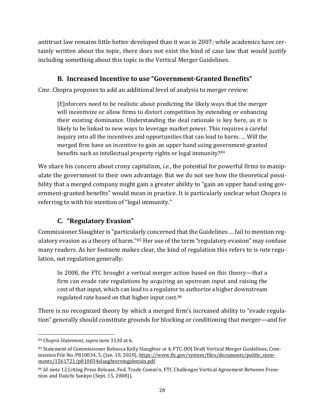antitrust law remains little better developed than it was in 2007: while academics have certainly written about the topic, there does not exist the kind of case law that would justify including something about this topic in the Vertical Merger Guidelines.

### **B. Increased Incentive to use "Government-Granted Benefits"**

Cmr. Chopra proposes to add an additional level of analysis to merger review:

[E]nforcers need to be realistic about predicting the likely ways that the merger will incentivize or allow firms to distort competition by extending or enhancing their existing dominance. Understanding the deal rationale is key here, as it is likely to be linked to new ways to leverage market power. This requires a careful inquiry into all the incentives and opportunities that can lead to harm. … Will the merged firm have an incentive to gain an upper hand using government-granted benefits such as intellectual property rights or legal immunity?<sup>[84](#page-28-0)</sup>

We share his concern about crony capitalism, *i.e.*, the potential for powerful firms to manipulate the government to their own advantage. But we do not see how the theoretical possibility that a merged company might gain a greater ability to "gain an upper hand using government-granted benefits" would mean in practice. It is particularly unclear what Chopra is referring to with his mention of "legal immunity."

## **C. "Regulatory Evasion"**

Commissioner Slaughter is "particularly concerned that the Guidelines … fail to mention reg-ulatory evasion as a theory of harm."<sup>[85](#page-28-1)</sup> Her use of the term "regulatory evasion" may confuse many readers. As her footnote makes clear, the kind of regulation this refers to is *rate* regulation, not regulation generally:

In 2008, the FTC brought a vertical merger action based on this theory—that a firm can evade rate regulations by acquiring an upstream input and raising the cost of that input, which can lead to a regulator to authorize a higher downstream regulated rate based on that higher input cost. [86](#page-28-2)

There is no recognized theory by which a merged firm's increased ability to "evade regulation" generally should constitute grounds for blocking or conditioning that merger—and for

<span id="page-28-0"></span><sup>84</sup> *Chopra Statement, supra* not[e 31](#page-8-3)[30](#page-8-4) at 6.

<span id="page-28-1"></span><sup>85</sup> Statement of Commissioner Rebecca Kelly Slaughter at 4, FTC-DOJ Draft Vertical Merger Guidelines, Commission File No. P810034, 5, (Jan. 10, 2020), [https://www.ftc.gov/system/files/documents/public\\_state](https://www.ftc.gov/system/files/documents/public_statements/1561721/p810034slaughtervmgabstain.pdf)[ments/1561721/p810034slaughtervmgabstain.pdf.](https://www.ftc.gov/system/files/documents/public_statements/1561721/p810034slaughtervmgabstain.pdf) 

<span id="page-28-2"></span><sup>86</sup> *Id*. note 12 (citing Press Release, Fed. Trade Comm'n, FTC Challenges Vertical Agreement Between Fresenius and Daiichi Sankyo (Sept. 15, 2008)).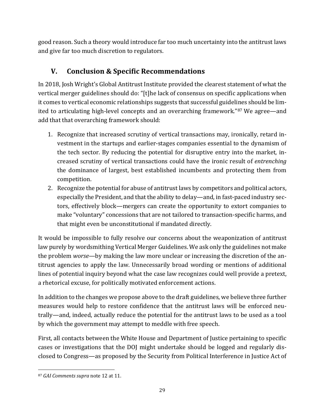good reason. Such a theory would introduce far too much uncertainty into the antitrust laws and give far too much discretion to regulators.

## **V. Conclusion & Specific Recommendations**

In 2018, Josh Wright's Global Antitrust Institute provided the clearest statement of what the vertical merger guidelines should do: "[t]he lack of consensus on specific applications when it comes to vertical economic relationships suggests that successful guidelines should be limited to articulating high-level concepts and an overarching framework."[87](#page-29-0) We agree—and add that that overarching framework should:

- 1. Recognize that increased scrutiny of vertical transactions may, ironically, retard investment in the startups and earlier-stages companies essential to the dynamism of the tech sector. By reducing the potential for disruptive entry into the market, increased scrutiny of vertical transactions could have the ironic result of *entrenching* the dominance of largest, best established incumbents and protecting them from competition.
- 2. Recognize the potential for abuse of antitrust laws by competitors and political actors, especially the President, and that the ability to delay—and, in fast-paced industry sectors, effectively block—mergers can create the opportunity to extort companies to make "voluntary" concessions that are not tailored to transaction-specific harms, and that might even be unconstitutional if mandated directly.

It would be impossible to fully resolve our concerns about the weaponization of antitrust law purely by wordsmithing Vertical Merger Guidelines. We ask only the guidelines not make the problem *worse*—by making the law more unclear or increasing the discretion of the antitrust agencies to apply the law. Unnecessarily broad wording or mentions of additional lines of potential inquiry beyond what the case law recognizes could well provide a pretext, a rhetorical excuse, for politically motivated enforcement actions.

In addition to the changes we propose above to the draft guidelines, we believe three further measures would help to restore confidence that the antitrust laws will be enforced neutrally—and, indeed, actually reduce the potential for the antitrust laws to be used as a tool by which the government may attempt to meddle with free speech.

First, all contacts between the White House and Department of Justice pertaining to specific cases or investigations that the DOJ might undertake should be logged and regularly disclosed to Congress—as proposed by the Security from Political Interference in Justice Act of

<span id="page-29-0"></span><sup>87</sup> *GAI Comments supra* not[e 12](#page-4-2) at 11.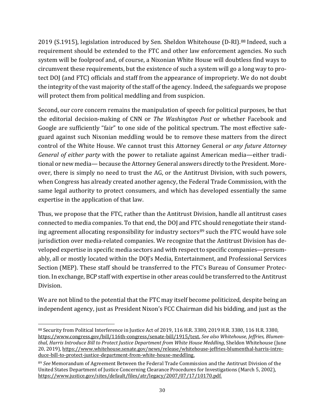2019 (S.1915), legislation introduced by Sen. Sheldon Whitehouse (D-RI).[88](#page-30-0) Indeed, such a requirement should be extended to the FTC and other law enforcement agencies. No such system will be foolproof and, of course, a Nixonian White House will doubtless find ways to circumvent these requirements, but the existence of such a system will go a long way to protect DOJ (and FTC) officials and staff from the appearance of impropriety. We do not doubt the integrity of the vast majority of the staff of the agency. Indeed, the safeguards we propose will protect them from political meddling and from suspicion.

Second, our core concern remains the manipulation of speech for political purposes, be that the editorial decision-making of CNN or *The Washington Post* or whether Facebook and Google are sufficiently "fair" to one side of the political spectrum. The most effective safeguard against such Nixonian meddling would be to remove these matters from the direct control of the White House. We cannot trust this Attorney General *or any future Attorney General of either party* with the power to retaliate against American media—either traditional or new media—because the Attorney General answers directly to the President. Moreover, there is simply no need to trust the AG, or the Antitrust Division, with such powers, when Congress has already created another agency, the Federal Trade Commission, with the same legal authority to protect consumers, and which has developed essentially the same expertise in the application of that law.

Thus, we propose that the FTC, rather than the Antitrust Division, handle all antitrust cases connected to media companies. To that end, the DOJ and FTC should renegotiate their standing agreement allocating responsibility for industry sectors<sup>89</sup> such the FTC would have sole jurisdiction over media-related companies. We recognize that the Antitrust Division has developed expertise in specific media sectors and with respect to specific companies—presumably, all or mostly located within the DOJ's Media, Entertainment, and Professional Services Section (MEP). These staff should be transferred to the FTC's Bureau of Consumer Protection. In exchange, BCP staff with expertise in other areas could be transferred to the Antitrust Division.

We are not blind to the potential that the FTC may itself become politicized, despite being an independent agency, just as President Nixon's FCC Chairman did his bidding, and just as the

<span id="page-30-0"></span><sup>88</sup> Security from Political Interference in Justice Act of 2019, 116 H.R. 3380, 2019 H.R. 3380, 116 H.R. 3380, [https://www.congress.gov/bill/116th-congress/senate-bill/1915/text.](https://www.congress.gov/bill/116th-congress/senate-bill/1915/text) *See also Whitehouse, Jeffries, Blumenthal, Harris Introduce Bill to Protect Justice Department from White House Meddling*, Sheldon Whitehouse (June 20, 2019), [https://www.whitehouse.senate.gov/news/release/whitehouse-jeffries-blumenthal-harris-intro](https://www.whitehouse.senate.gov/news/release/whitehouse-jeffries-blumenthal-harris-introduce-bill-to-protect-justice-department-from-white-house-meddling)[duce-bill-to-protect-justice-department-from-white-house-meddling.](https://www.whitehouse.senate.gov/news/release/whitehouse-jeffries-blumenthal-harris-introduce-bill-to-protect-justice-department-from-white-house-meddling)

<span id="page-30-1"></span><sup>89</sup> *See* Memorandum of Agreement Between the Federal Trade Commission and the Antitrust Division of the United States Department of Justice Concerning Clearance Procedures for Investigations (March 5, 2002), [https://www.justice.gov/sites/default/files/atr/legacy/2007/07/17/10170.pdf.](https://www.justice.gov/sites/default/files/atr/legacy/2007/07/17/10170.pdf)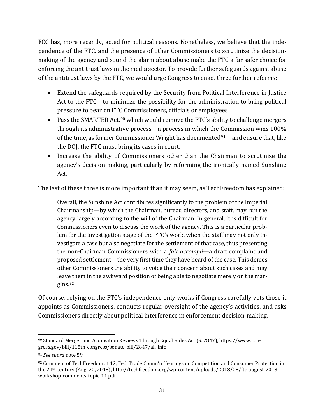FCC has, more recently, acted for political reasons. Nonetheless, we believe that the independence of the FTC, and the presence of other Commissioners to scrutinize the decisionmaking of the agency and sound the alarm about abuse make the FTC a far safer choice for enforcing the antitrust laws in the media sector. To provide further safeguards against abuse of the antitrust laws by the FTC, we would urge Congress to enact three further reforms:

- Extend the safeguards required by the Security from Political Interference in Justice Act to the FTC—to minimize the possibility for the administration to bring political pressure to bear on FTC Commissioners, officials or employees
- Pass the SMARTER Act,<sup>[90](#page-31-0)</sup> which would remove the FTC's ability to challenge mergers through its administrative process—a process in which the Commission wins 100% of the time, as former Commissioner Wright has documented<sup>[91](#page-31-1)</sup>—and ensure that, like the DOJ, the FTC must bring its cases in court.
- Increase the ability of Commissioners other than the Chairman to scrutinize the agency's decision-making, particularly by reforming the ironically named Sunshine Act.

The last of these three is more important than it may seem, as TechFreedom has explained:

Overall, the Sunshine Act contributes significantly to the problem of the Imperial Chairmanship—by which the Chairman, bureau directors, and staff, may run the agency largely according to the will of the Chairman. In general, it is difficult for Commissioners even to discuss the work of the agency. This is a particular problem for the investigation stage of the FTC's work, when the staff may not only investigate a case but also negotiate for the settlement of that case, thus presenting the non-Chairman Commissioners with a *fait accompli*—a draft complaint and proposed settlement—the very first time they have heard of the case. This denies other Commissioners the ability to voice their concern about such cases and may leave them in the awkward position of being able to negotiate merely on the margins.[92](#page-31-2)

Of course, relying on the FTC's independence only works if Congress carefully vets those it appoints as Commissioners, conducts regular oversight of the agency's activities, and asks Commissioners directly about political interference in enforcement decision-making.

<span id="page-31-0"></span><sup>90</sup> Standard Merger and Acquisition Reviews Through Equal Rules Act (S. 2847)[, https://www.con](https://www.congress.gov/bill/115th-congress/senate-bill/2847/all-info)[gress.gov/bill/115th-congress/senate-bill/2847/all-info.](https://www.congress.gov/bill/115th-congress/senate-bill/2847/all-info)

<span id="page-31-1"></span><sup>91</sup> *See supra* note [59.](#page-15-3)

<span id="page-31-2"></span> $92$  Comment of TechFreedom at 12, Fed. Trade Comm'n Hearings on Competition and Consumer Protection in the 21st Century (Aug. 20, 2018), [http://techfreedom.org/wp-content/uploads/2018/08/ftc-august-2018](http://techfreedom.org/wp-content/uploads/2018/08/ftc-august-2018-workshop-comments-topic-11.pdf) [workshop-comments-topic-11.pdf.](http://techfreedom.org/wp-content/uploads/2018/08/ftc-august-2018-workshop-comments-topic-11.pdf)